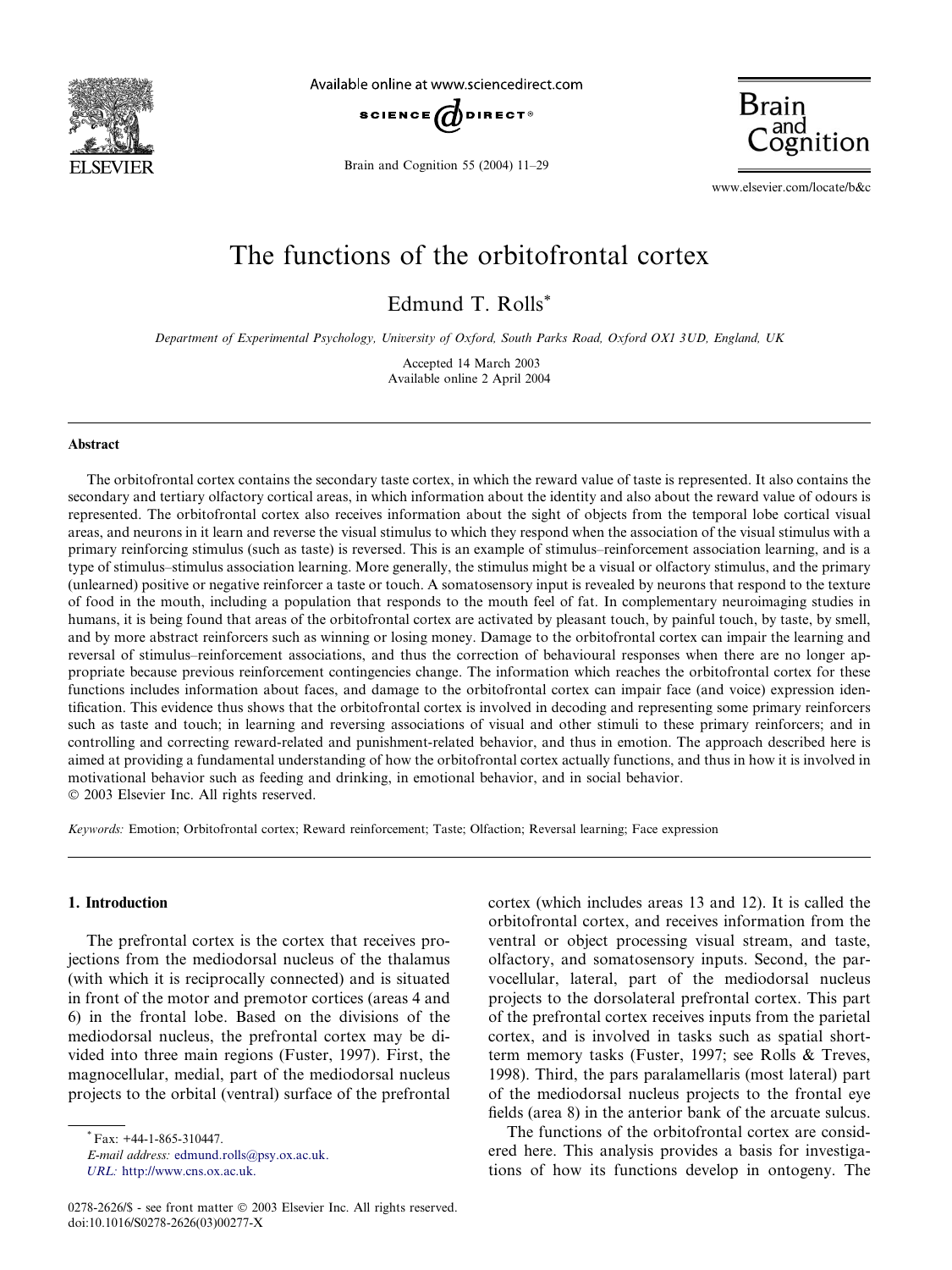

Available online at www.sciencedirect.com



Brain and Cognition 55 (2004) 11–29



www.elsevier.com/locate/b&c

# The functions of the orbitofrontal cortex

Edmund T. Rolls\*

Department of Experimental Psychology, University of Oxford, South Parks Road, Oxford OX1 3UD, England, UK

Accepted 14 March 2003 Available online 2 April 2004

#### Abstract

The orbitofrontal cortex contains the secondary taste cortex, in which the reward value of taste is represented. It also contains the secondary and tertiary olfactory cortical areas, in which information about the identity and also about the reward value of odours is represented. The orbitofrontal cortex also receives information about the sight of objects from the temporal lobe cortical visual areas, and neurons in it learn and reverse the visual stimulus to which they respond when the association of the visual stimulus with a primary reinforcing stimulus (such as taste) is reversed. This is an example of stimulus–reinforcement association learning, and is a type of stimulus–stimulus association learning. More generally, the stimulus might be a visual or olfactory stimulus, and the primary (unlearned) positive or negative reinforcer a taste or touch. A somatosensory input is revealed by neurons that respond to the texture of food in the mouth, including a population that responds to the mouth feel of fat. In complementary neuroimaging studies in humans, it is being found that areas of the orbitofrontal cortex are activated by pleasant touch, by painful touch, by taste, by smell, and by more abstract reinforcers such as winning or losing money. Damage to the orbitofrontal cortex can impair the learning and reversal of stimulus–reinforcement associations, and thus the correction of behavioural responses when there are no longer appropriate because previous reinforcement contingencies change. The information which reaches the orbitofrontal cortex for these functions includes information about faces, and damage to the orbitofrontal cortex can impair face (and voice) expression identification. This evidence thus shows that the orbitofrontal cortex is involved in decoding and representing some primary reinforcers such as taste and touch; in learning and reversing associations of visual and other stimuli to these primary reinforcers; and in controlling and correcting reward-related and punishment-related behavior, and thus in emotion. The approach described here is aimed at providing a fundamental understanding of how the orbitofrontal cortex actually functions, and thus in how it is involved in motivational behavior such as feeding and drinking, in emotional behavior, and in social behavior. 2003 Elsevier Inc. All rights reserved.

Keywords: Emotion; Orbitofrontal cortex; Reward reinforcement; Taste; Olfaction; Reversal learning; Face expression

# 1. Introduction

The prefrontal cortex is the cortex that receives projections from the mediodorsal nucleus of the thalamus (with which it is reciprocally connected) and is situated in front of the motor and premotor cortices (areas 4 and 6) in the frontal lobe. Based on the divisions of the mediodorsal nucleus, the prefrontal cortex may be divided into three main regions (Fuster, 1997). First, the magnocellular, medial, part of the mediodorsal nucleus projects to the orbital (ventral) surface of the prefrontal

 $*$ Fax:  $+44-1-865-310447$ .

E-mail address: [edmund.rolls@psy.ox.ac.uk.](mail to: edmund.rolls@psy.ox.ac.uk.URL:) [U](mail to: edmund.rolls@psy.ox.ac.uk.URL:)RL: [http://www.cns.ox.ac.uk.](http://www.cns.ox.ac.uk)

0278-2626/\$ - see front matter © 2003 Elsevier Inc. All rights reserved. doi:10.1016/S0278-2626(03)00277-X

cortex (which includes areas 13 and 12). It is called the orbitofrontal cortex, and receives information from the ventral or object processing visual stream, and taste, olfactory, and somatosensory inputs. Second, the parvocellular, lateral, part of the mediodorsal nucleus projects to the dorsolateral prefrontal cortex. This part of the prefrontal cortex receives inputs from the parietal cortex, and is involved in tasks such as spatial shortterm memory tasks (Fuster, 1997; see Rolls & Treves, 1998). Third, the pars paralamellaris (most lateral) part of the mediodorsal nucleus projects to the frontal eye fields (area 8) in the anterior bank of the arcuate sulcus.

The functions of the orbitofrontal cortex are considered here. This analysis provides a basis for investigations of how its functions develop in ontogeny. The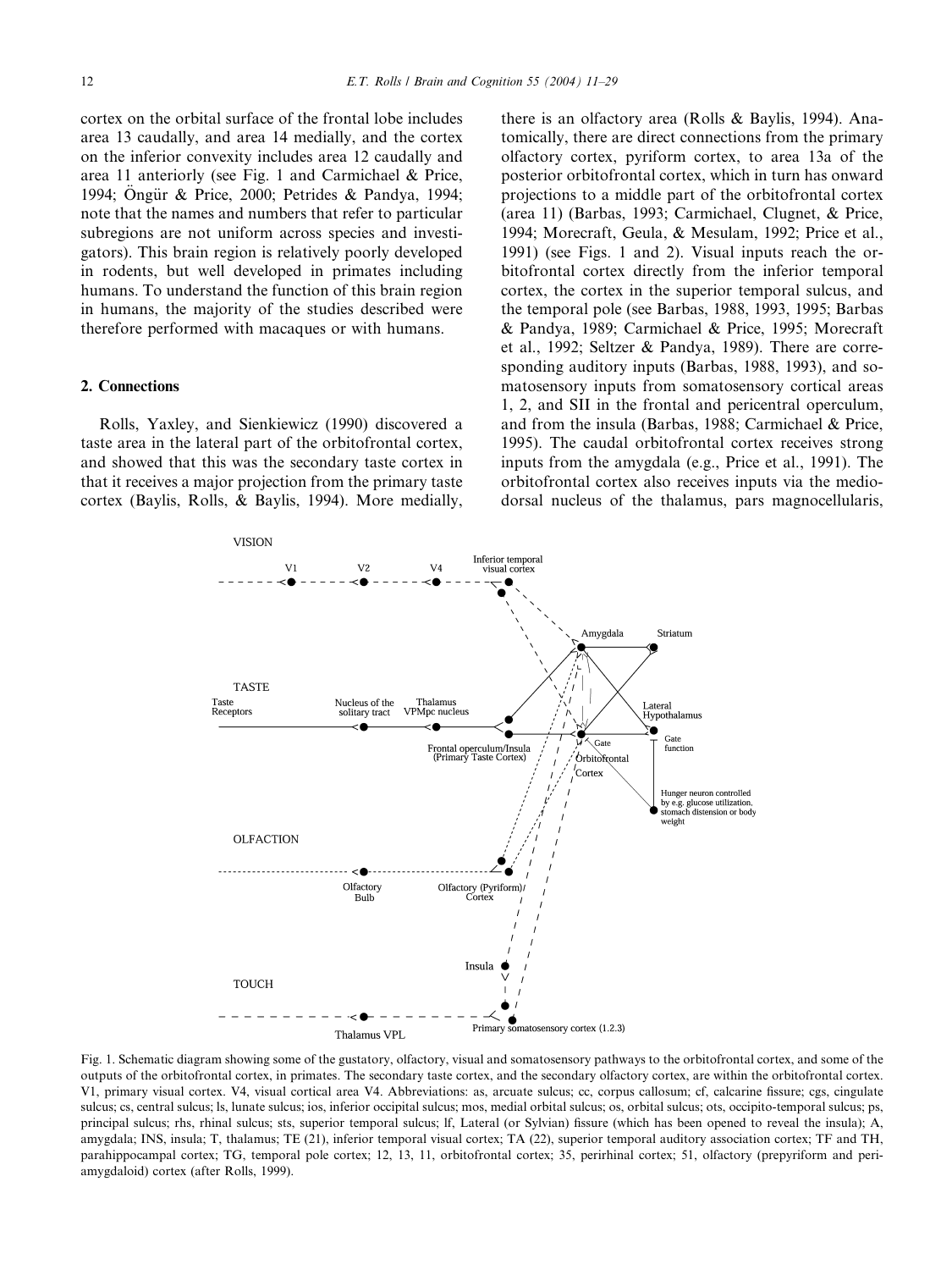cortex on the orbital surface of the frontal lobe includes area 13 caudally, and area 14 medially, and the cortex on the inferior convexity includes area 12 caudally and area 11 anteriorly (see Fig. 1 and Carmichael & Price, 1994; Öngür & Price, 2000; Petrides & Pandya, 1994; note that the names and numbers that refer to particular subregions are not uniform across species and investigators). This brain region is relatively poorly developed in rodents, but well developed in primates including humans. To understand the function of this brain region in humans, the majority of the studies described were therefore performed with macaques or with humans.

# 2. Connections

Rolls, Yaxley, and Sienkiewicz (1990) discovered a taste area in the lateral part of the orbitofrontal cortex, and showed that this was the secondary taste cortex in that it receives a major projection from the primary taste cortex (Baylis, Rolls, & Baylis, 1994). More medially, there is an olfactory area (Rolls & Baylis, 1994). Anatomically, there are direct connections from the primary olfactory cortex, pyriform cortex, to area 13a of the posterior orbitofrontal cortex, which in turn has onward projections to a middle part of the orbitofrontal cortex (area 11) (Barbas, 1993; Carmichael, Clugnet, & Price, 1994; Morecraft, Geula, & Mesulam, 1992; Price et al., 1991) (see Figs. 1 and 2). Visual inputs reach the orbitofrontal cortex directly from the inferior temporal cortex, the cortex in the superior temporal sulcus, and the temporal pole (see Barbas, 1988, 1993, 1995; Barbas & Pandya, 1989; Carmichael & Price, 1995; Morecraft et al., 1992; Seltzer & Pandya, 1989). There are corresponding auditory inputs (Barbas, 1988, 1993), and somatosensory inputs from somatosensory cortical areas 1, 2, and SII in the frontal and pericentral operculum, and from the insula (Barbas, 1988; Carmichael & Price, 1995). The caudal orbitofrontal cortex receives strong inputs from the amygdala (e.g., Price et al., 1991). The orbitofrontal cortex also receives inputs via the mediodorsal nucleus of the thalamus, pars magnocellularis,



Fig. 1. Schematic diagram showing some of the gustatory, olfactory, visual and somatosensory pathways to the orbitofrontal cortex, and some of the outputs of the orbitofrontal cortex, in primates. The secondary taste cortex, and the secondary olfactory cortex, are within the orbitofrontal cortex. V1, primary visual cortex. V4, visual cortical area V4. Abbreviations: as, arcuate sulcus; cc, corpus callosum; cf, calcarine fissure; cgs, cingulate sulcus; cs, central sulcus; ls, lunate sulcus; ios, inferior occipital sulcus; mos, medial orbital sulcus; os, orbital sulcus; ots, occipito-temporal sulcus; ps, principal sulcus; rhs, rhinal sulcus; sts, superior temporal sulcus; lf, Lateral (or Sylvian) fissure (which has been opened to reveal the insula); A, amygdala; INS, insula; T, thalamus; TE (21), inferior temporal visual cortex; TA (22), superior temporal auditory association cortex; TF and TH, parahippocampal cortex; TG, temporal pole cortex; 12, 13, 11, orbitofrontal cortex; 35, perirhinal cortex; 51, olfactory (prepyriform and periamygdaloid) cortex (after Rolls, 1999).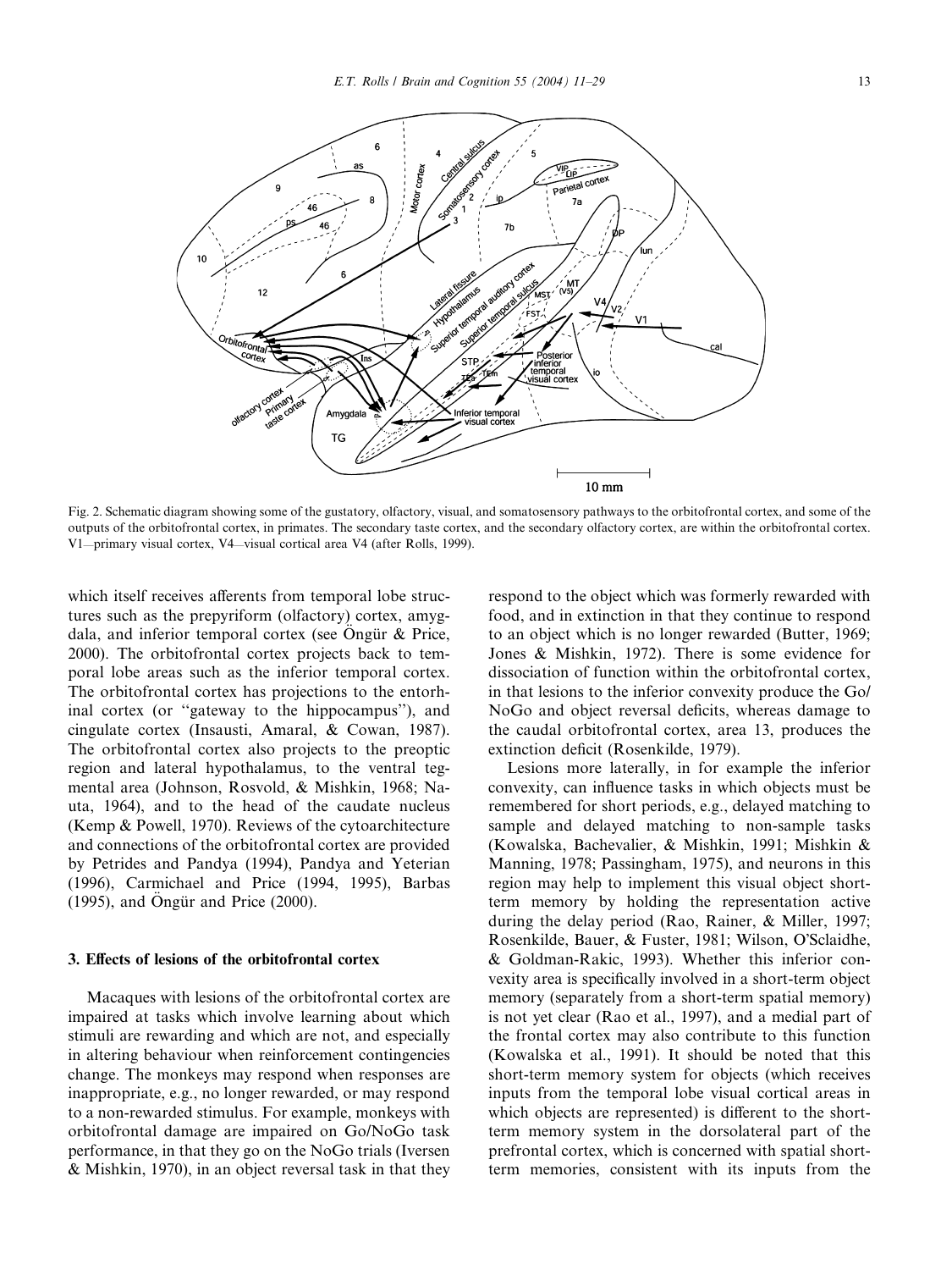

Fig. 2. Schematic diagram showing some of the gustatory, olfactory, visual, and somatosensory pathways to the orbitofrontal cortex, and some of the outputs of the orbitofrontal cortex, in primates. The secondary taste cortex, and the secondary olfactory cortex, are within the orbitofrontal cortex. V1—primary visual cortex, V4—visual cortical area V4 (after Rolls, 1999).

which itself receives afferents from temporal lobe structures such as the prepyriform (olfactory) cortex, amygdala, and inferior temporal cortex (see Ongür  $\&$  Price, 2000). The orbitofrontal cortex projects back to temporal lobe areas such as the inferior temporal cortex. The orbitofrontal cortex has projections to the entorhinal cortex (or ''gateway to the hippocampus''), and cingulate cortex (Insausti, Amaral, & Cowan, 1987). The orbitofrontal cortex also projects to the preoptic region and lateral hypothalamus, to the ventral tegmental area (Johnson, Rosvold, & Mishkin, 1968; Nauta, 1964), and to the head of the caudate nucleus (Kemp & Powell, 1970). Reviews of the cytoarchitecture and connections of the orbitofrontal cortex are provided by Petrides and Pandya (1994), Pandya and Yeterian (1996), Carmichael and Price (1994, 1995), Barbas (1995), and  $\ddot{O}$ ngür and Price (2000).

#### 3. Effects of lesions of the orbitofrontal cortex

Macaques with lesions of the orbitofrontal cortex are impaired at tasks which involve learning about which stimuli are rewarding and which are not, and especially in altering behaviour when reinforcement contingencies change. The monkeys may respond when responses are inappropriate, e.g., no longer rewarded, or may respond to a non-rewarded stimulus. For example, monkeys with orbitofrontal damage are impaired on Go/NoGo task performance, in that they go on the NoGo trials (Iversen & Mishkin, 1970), in an object reversal task in that they respond to the object which was formerly rewarded with food, and in extinction in that they continue to respond to an object which is no longer rewarded (Butter, 1969; Jones & Mishkin, 1972). There is some evidence for dissociation of function within the orbitofrontal cortex, in that lesions to the inferior convexity produce the Go/ NoGo and object reversal deficits, whereas damage to the caudal orbitofrontal cortex, area 13, produces the extinction deficit (Rosenkilde, 1979).

Lesions more laterally, in for example the inferior convexity, can influence tasks in which objects must be remembered for short periods, e.g., delayed matching to sample and delayed matching to non-sample tasks (Kowalska, Bachevalier, & Mishkin, 1991; Mishkin & Manning, 1978; Passingham, 1975), and neurons in this region may help to implement this visual object shortterm memory by holding the representation active during the delay period (Rao, Rainer, & Miller, 1997; Rosenkilde, Bauer, & Fuster, 1981; Wilson, O'Sclaidhe, & Goldman-Rakic, 1993). Whether this inferior convexity area is specifically involved in a short-term object memory (separately from a short-term spatial memory) is not yet clear (Rao et al., 1997), and a medial part of the frontal cortex may also contribute to this function (Kowalska et al., 1991). It should be noted that this short-term memory system for objects (which receives inputs from the temporal lobe visual cortical areas in which objects are represented) is different to the shortterm memory system in the dorsolateral part of the prefrontal cortex, which is concerned with spatial shortterm memories, consistent with its inputs from the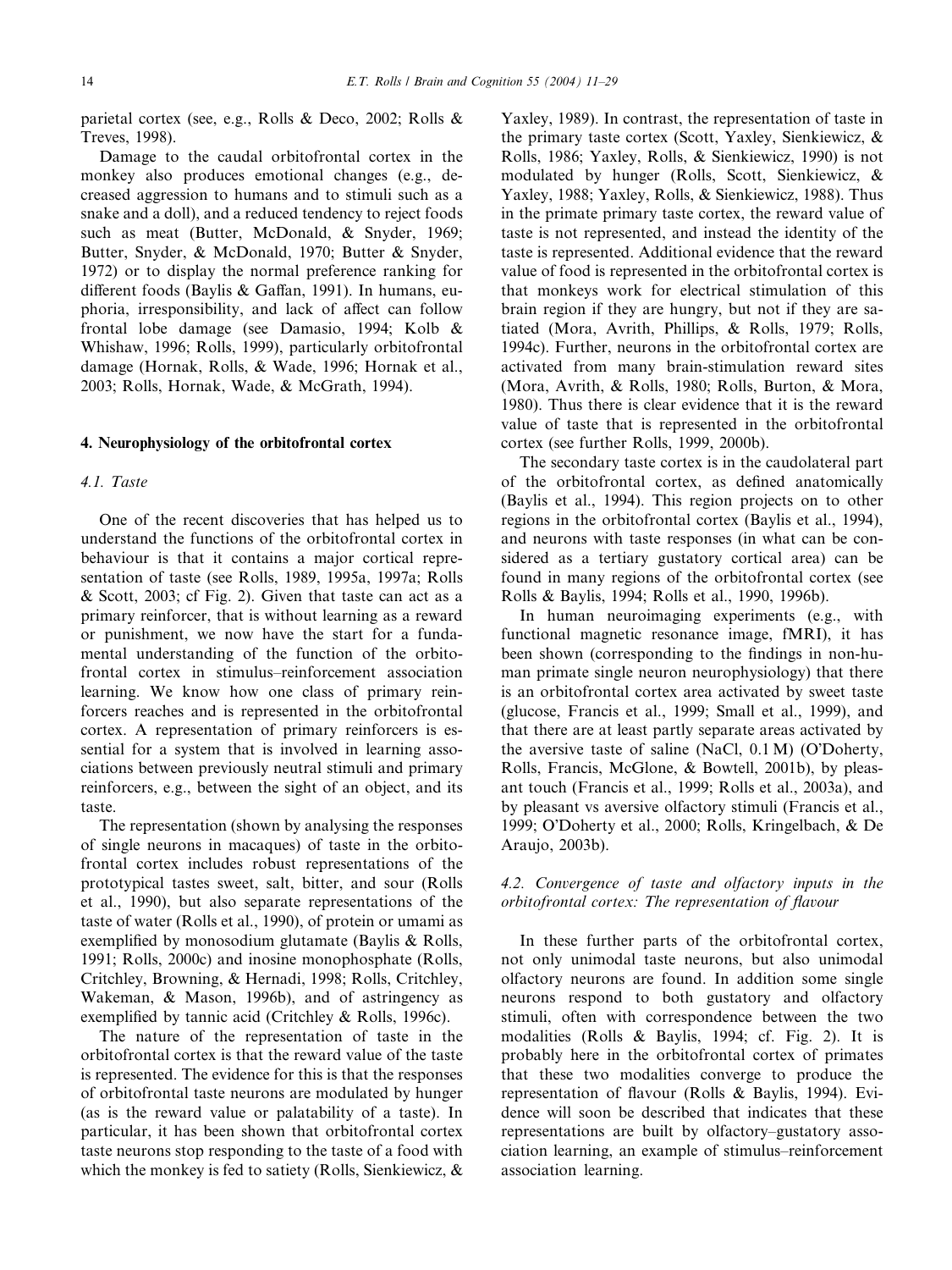parietal cortex (see, e.g., Rolls & Deco, 2002; Rolls & Treves, 1998).

Damage to the caudal orbitofrontal cortex in the monkey also produces emotional changes (e.g., decreased aggression to humans and to stimuli such as a snake and a doll), and a reduced tendency to reject foods such as meat (Butter, McDonald, & Snyder, 1969; Butter, Snyder, & McDonald, 1970; Butter & Snyder, 1972) or to display the normal preference ranking for different foods (Baylis & Gaffan, 1991). In humans, euphoria, irresponsibility, and lack of affect can follow frontal lobe damage (see Damasio, 1994; Kolb & Whishaw, 1996; Rolls, 1999), particularly orbitofrontal damage (Hornak, Rolls, & Wade, 1996; Hornak et al., 2003; Rolls, Hornak, Wade, & McGrath, 1994).

#### 4. Neurophysiology of the orbitofrontal cortex

#### 4.1. Taste

One of the recent discoveries that has helped us to understand the functions of the orbitofrontal cortex in behaviour is that it contains a major cortical representation of taste (see Rolls, 1989, 1995a, 1997a; Rolls & Scott, 2003; cf Fig. 2). Given that taste can act as a primary reinforcer, that is without learning as a reward or punishment, we now have the start for a fundamental understanding of the function of the orbitofrontal cortex in stimulus–reinforcement association learning. We know how one class of primary reinforcers reaches and is represented in the orbitofrontal cortex. A representation of primary reinforcers is essential for a system that is involved in learning associations between previously neutral stimuli and primary reinforcers, e.g., between the sight of an object, and its taste.

The representation (shown by analysing the responses of single neurons in macaques) of taste in the orbitofrontal cortex includes robust representations of the prototypical tastes sweet, salt, bitter, and sour (Rolls et al., 1990), but also separate representations of the taste of water (Rolls et al., 1990), of protein or umami as exemplified by monosodium glutamate (Baylis & Rolls, 1991; Rolls, 2000c) and inosine monophosphate (Rolls, Critchley, Browning, & Hernadi, 1998; Rolls, Critchley, Wakeman, & Mason, 1996b), and of astringency as exemplified by tannic acid (Critchley & Rolls, 1996c).

The nature of the representation of taste in the orbitofrontal cortex is that the reward value of the taste is represented. The evidence for this is that the responses of orbitofrontal taste neurons are modulated by hunger (as is the reward value or palatability of a taste). In particular, it has been shown that orbitofrontal cortex taste neurons stop responding to the taste of a food with which the monkey is fed to satiety (Rolls, Sienkiewicz, & Yaxley, 1989). In contrast, the representation of taste in the primary taste cortex (Scott, Yaxley, Sienkiewicz, & Rolls, 1986; Yaxley, Rolls, & Sienkiewicz, 1990) is not modulated by hunger (Rolls, Scott, Sienkiewicz, & Yaxley, 1988; Yaxley, Rolls, & Sienkiewicz, 1988). Thus in the primate primary taste cortex, the reward value of taste is not represented, and instead the identity of the taste is represented. Additional evidence that the reward value of food is represented in the orbitofrontal cortex is that monkeys work for electrical stimulation of this brain region if they are hungry, but not if they are satiated (Mora, Avrith, Phillips, & Rolls, 1979; Rolls, 1994c). Further, neurons in the orbitofrontal cortex are activated from many brain-stimulation reward sites (Mora, Avrith, & Rolls, 1980; Rolls, Burton, & Mora, 1980). Thus there is clear evidence that it is the reward value of taste that is represented in the orbitofrontal cortex (see further Rolls, 1999, 2000b).

The secondary taste cortex is in the caudolateral part of the orbitofrontal cortex, as defined anatomically (Baylis et al., 1994). This region projects on to other regions in the orbitofrontal cortex (Baylis et al., 1994), and neurons with taste responses (in what can be considered as a tertiary gustatory cortical area) can be found in many regions of the orbitofrontal cortex (see Rolls & Baylis, 1994; Rolls et al., 1990, 1996b).

In human neuroimaging experiments (e.g., with functional magnetic resonance image, fMRI), it has been shown (corresponding to the findings in non-human primate single neuron neurophysiology) that there is an orbitofrontal cortex area activated by sweet taste (glucose, Francis et al., 1999; Small et al., 1999), and that there are at least partly separate areas activated by the aversive taste of saline  $(NaCl, 0.1 M)$  (O'Doherty, Rolls, Francis, McGlone, & Bowtell, 2001b), by pleasant touch (Francis et al., 1999; Rolls et al., 2003a), and by pleasant vs aversive olfactory stimuli (Francis et al., 1999; O'Doherty et al., 2000; Rolls, Kringelbach, & De Araujo, 2003b).

## 4.2. Convergence of taste and olfactory inputs in the orbitofrontal cortex: The representation of flavour

In these further parts of the orbitofrontal cortex, not only unimodal taste neurons, but also unimodal olfactory neurons are found. In addition some single neurons respond to both gustatory and olfactory stimuli, often with correspondence between the two modalities (Rolls & Baylis, 1994; cf. Fig. 2). It is probably here in the orbitofrontal cortex of primates that these two modalities converge to produce the representation of flavour (Rolls & Baylis, 1994). Evidence will soon be described that indicates that these representations are built by olfactory–gustatory association learning, an example of stimulus–reinforcement association learning.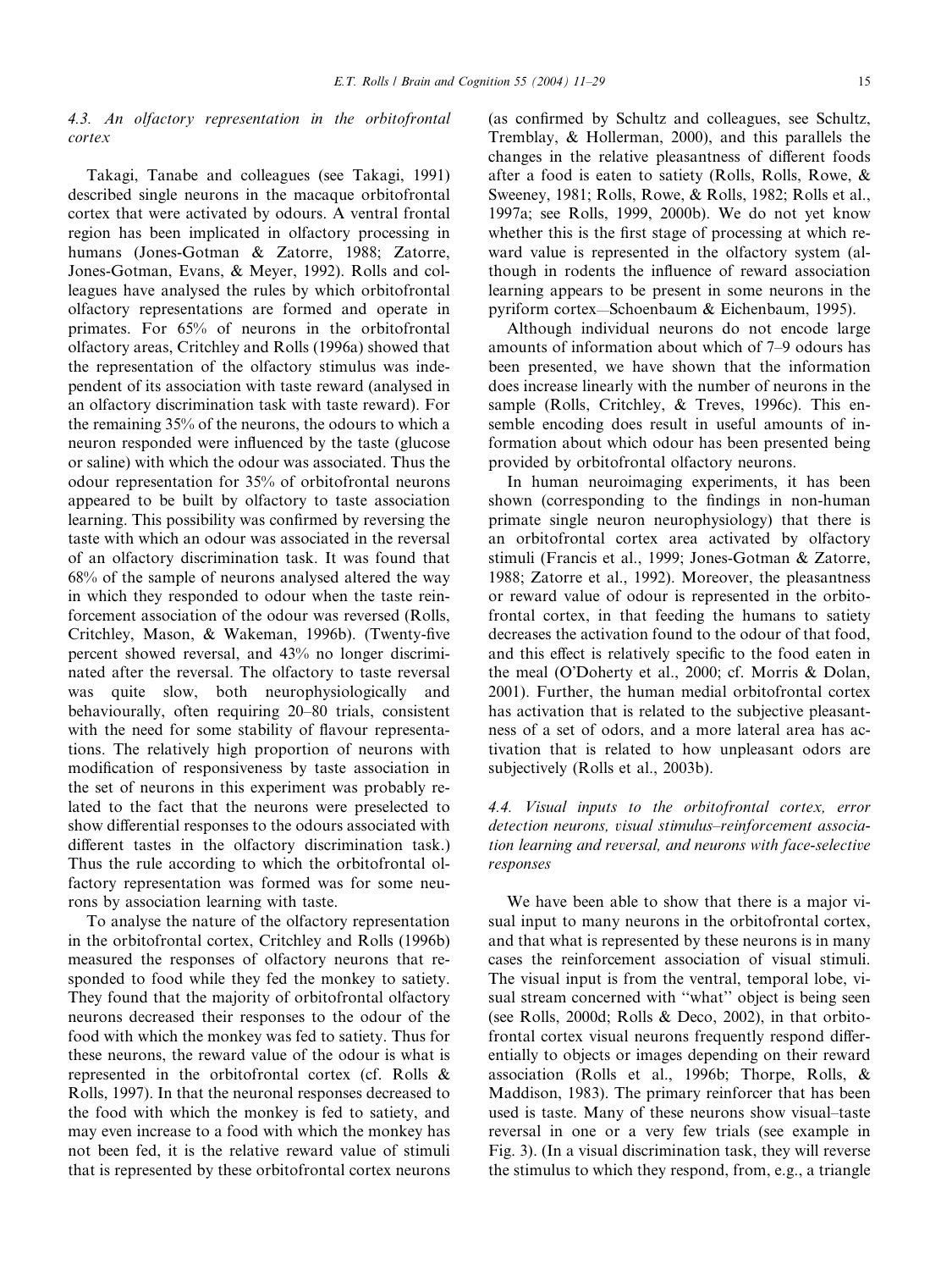## 4.3. An olfactory representation in the orbitofrontal cortex

Takagi, Tanabe and colleagues (see Takagi, 1991) described single neurons in the macaque orbitofrontal cortex that were activated by odours. A ventral frontal region has been implicated in olfactory processing in humans (Jones-Gotman & Zatorre, 1988; Zatorre, Jones-Gotman, Evans, & Meyer, 1992). Rolls and colleagues have analysed the rules by which orbitofrontal olfactory representations are formed and operate in primates. For 65% of neurons in the orbitofrontal olfactory areas, Critchley and Rolls (1996a) showed that the representation of the olfactory stimulus was independent of its association with taste reward (analysed in an olfactory discrimination task with taste reward). For the remaining 35% of the neurons, the odours to which a neuron responded were influenced by the taste (glucose or saline) with which the odour was associated. Thus the odour representation for 35% of orbitofrontal neurons appeared to be built by olfactory to taste association learning. This possibility was confirmed by reversing the taste with which an odour was associated in the reversal of an olfactory discrimination task. It was found that 68% of the sample of neurons analysed altered the way in which they responded to odour when the taste reinforcement association of the odour was reversed (Rolls, Critchley, Mason, & Wakeman, 1996b). (Twenty-five percent showed reversal, and 43% no longer discriminated after the reversal. The olfactory to taste reversal was quite slow, both neurophysiologically and behaviourally, often requiring 20–80 trials, consistent with the need for some stability of flavour representations. The relatively high proportion of neurons with modification of responsiveness by taste association in the set of neurons in this experiment was probably related to the fact that the neurons were preselected to show differential responses to the odours associated with different tastes in the olfactory discrimination task.) Thus the rule according to which the orbitofrontal olfactory representation was formed was for some neurons by association learning with taste.

To analyse the nature of the olfactory representation in the orbitofrontal cortex, Critchley and Rolls (1996b) measured the responses of olfactory neurons that responded to food while they fed the monkey to satiety. They found that the majority of orbitofrontal olfactory neurons decreased their responses to the odour of the food with which the monkey was fed to satiety. Thus for these neurons, the reward value of the odour is what is represented in the orbitofrontal cortex (cf. Rolls & Rolls, 1997). In that the neuronal responses decreased to the food with which the monkey is fed to satiety, and may even increase to a food with which the monkey has not been fed, it is the relative reward value of stimuli that is represented by these orbitofrontal cortex neurons (as confirmed by Schultz and colleagues, see Schultz, Tremblay, & Hollerman, 2000), and this parallels the changes in the relative pleasantness of different foods after a food is eaten to satiety (Rolls, Rolls, Rowe, & Sweeney, 1981; Rolls, Rowe, & Rolls, 1982; Rolls et al., 1997a; see Rolls, 1999, 2000b). We do not yet know whether this is the first stage of processing at which reward value is represented in the olfactory system (although in rodents the influence of reward association learning appears to be present in some neurons in the pyriform cortex—Schoenbaum & Eichenbaum, 1995).

Although individual neurons do not encode large amounts of information about which of 7–9 odours has been presented, we have shown that the information does increase linearly with the number of neurons in the sample (Rolls, Critchley, & Treves, 1996c). This ensemble encoding does result in useful amounts of information about which odour has been presented being provided by orbitofrontal olfactory neurons.

In human neuroimaging experiments, it has been shown (corresponding to the findings in non-human primate single neuron neurophysiology) that there is an orbitofrontal cortex area activated by olfactory stimuli (Francis et al., 1999; Jones-Gotman & Zatorre, 1988; Zatorre et al., 1992). Moreover, the pleasantness or reward value of odour is represented in the orbitofrontal cortex, in that feeding the humans to satiety decreases the activation found to the odour of that food, and this effect is relatively specific to the food eaten in the meal (O'Doherty et al., 2000; cf. Morris & Dolan, 2001). Further, the human medial orbitofrontal cortex has activation that is related to the subjective pleasantness of a set of odors, and a more lateral area has activation that is related to how unpleasant odors are subjectively (Rolls et al., 2003b).

# 4.4. Visual inputs to the orbitofrontal cortex, error detection neurons, visual stimulus–reinforcement association learning and reversal, and neurons with face-selective responses

We have been able to show that there is a major visual input to many neurons in the orbitofrontal cortex, and that what is represented by these neurons is in many cases the reinforcement association of visual stimuli. The visual input is from the ventral, temporal lobe, visual stream concerned with ''what'' object is being seen (see Rolls, 2000d; Rolls & Deco, 2002), in that orbitofrontal cortex visual neurons frequently respond differentially to objects or images depending on their reward association (Rolls et al., 1996b; Thorpe, Rolls, & Maddison, 1983). The primary reinforcer that has been used is taste. Many of these neurons show visual–taste reversal in one or a very few trials (see example in Fig. 3). (In a visual discrimination task, they will reverse the stimulus to which they respond, from, e.g., a triangle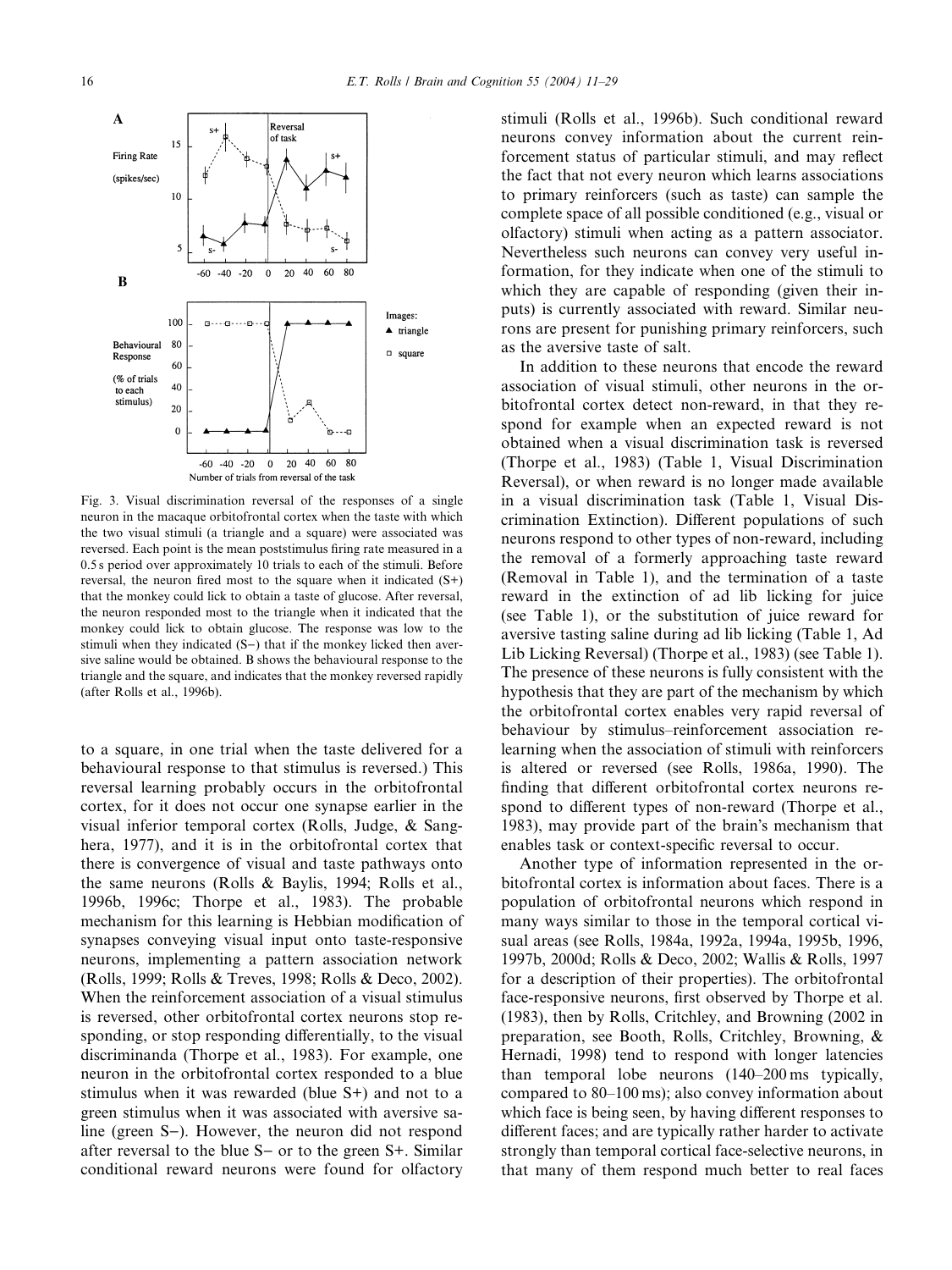

Fig. 3. Visual discrimination reversal of the responses of a single neuron in the macaque orbitofrontal cortex when the taste with which the two visual stimuli (a triangle and a square) were associated was reversed. Each point is the mean poststimulus firing rate measured in a 0.5 s period over approximately 10 trials to each of the stimuli. Before reversal, the neuron fired most to the square when it indicated  $(S<sup>+</sup>)$ that the monkey could lick to obtain a taste of glucose. After reversal, the neuron responded most to the triangle when it indicated that the monkey could lick to obtain glucose. The response was low to the stimuli when they indicated  $(S-)$  that if the monkey licked then aversive saline would be obtained. B shows the behavioural response to the triangle and the square, and indicates that the monkey reversed rapidly (after Rolls et al., 1996b).

to a square, in one trial when the taste delivered for a behavioural response to that stimulus is reversed.) This reversal learning probably occurs in the orbitofrontal cortex, for it does not occur one synapse earlier in the visual inferior temporal cortex (Rolls, Judge, & Sanghera, 1977), and it is in the orbitofrontal cortex that there is convergence of visual and taste pathways onto the same neurons (Rolls & Baylis, 1994; Rolls et al., 1996b, 1996c; Thorpe et al., 1983). The probable mechanism for this learning is Hebbian modification of synapses conveying visual input onto taste-responsive neurons, implementing a pattern association network (Rolls, 1999; Rolls & Treves, 1998; Rolls & Deco, 2002). When the reinforcement association of a visual stimulus is reversed, other orbitofrontal cortex neurons stop responding, or stop responding differentially, to the visual discriminanda (Thorpe et al., 1983). For example, one neuron in the orbitofrontal cortex responded to a blue stimulus when it was rewarded (blue S+) and not to a green stimulus when it was associated with aversive saline (green S-). However, the neuron did not respond after reversal to the blue  $S-$  or to the green  $S+$ . Similar conditional reward neurons were found for olfactory

stimuli (Rolls et al., 1996b). Such conditional reward neurons convey information about the current reinforcement status of particular stimuli, and may reflect the fact that not every neuron which learns associations to primary reinforcers (such as taste) can sample the complete space of all possible conditioned (e.g., visual or olfactory) stimuli when acting as a pattern associator. Nevertheless such neurons can convey very useful information, for they indicate when one of the stimuli to which they are capable of responding (given their inputs) is currently associated with reward. Similar neurons are present for punishing primary reinforcers, such as the aversive taste of salt.

In addition to these neurons that encode the reward association of visual stimuli, other neurons in the orbitofrontal cortex detect non-reward, in that they respond for example when an expected reward is not obtained when a visual discrimination task is reversed (Thorpe et al., 1983) (Table 1, Visual Discrimination Reversal), or when reward is no longer made available in a visual discrimination task (Table 1, Visual Discrimination Extinction). Different populations of such neurons respond to other types of non-reward, including the removal of a formerly approaching taste reward (Removal in Table 1), and the termination of a taste reward in the extinction of ad lib licking for juice (see Table 1), or the substitution of juice reward for aversive tasting saline during ad lib licking (Table 1, Ad Lib Licking Reversal) (Thorpe et al., 1983) (see Table 1). The presence of these neurons is fully consistent with the hypothesis that they are part of the mechanism by which the orbitofrontal cortex enables very rapid reversal of behaviour by stimulus–reinforcement association relearning when the association of stimuli with reinforcers is altered or reversed (see Rolls, 1986a, 1990). The finding that different orbitofrontal cortex neurons respond to different types of non-reward (Thorpe et al., 1983), may provide part of the brain's mechanism that enables task or context-specific reversal to occur.

Another type of information represented in the orbitofrontal cortex is information about faces. There is a population of orbitofrontal neurons which respond in many ways similar to those in the temporal cortical visual areas (see Rolls, 1984a, 1992a, 1994a, 1995b, 1996, 1997b, 2000d; Rolls & Deco, 2002; Wallis & Rolls, 1997 for a description of their properties). The orbitofrontal face-responsive neurons, first observed by Thorpe et al. (1983), then by Rolls, Critchley, and Browning (2002 in preparation, see Booth, Rolls, Critchley, Browning, & Hernadi, 1998) tend to respond with longer latencies than temporal lobe neurons (140–200 ms typically, compared to 80–100 ms); also convey information about which face is being seen, by having different responses to different faces; and are typically rather harder to activate strongly than temporal cortical face-selective neurons, in that many of them respond much better to real faces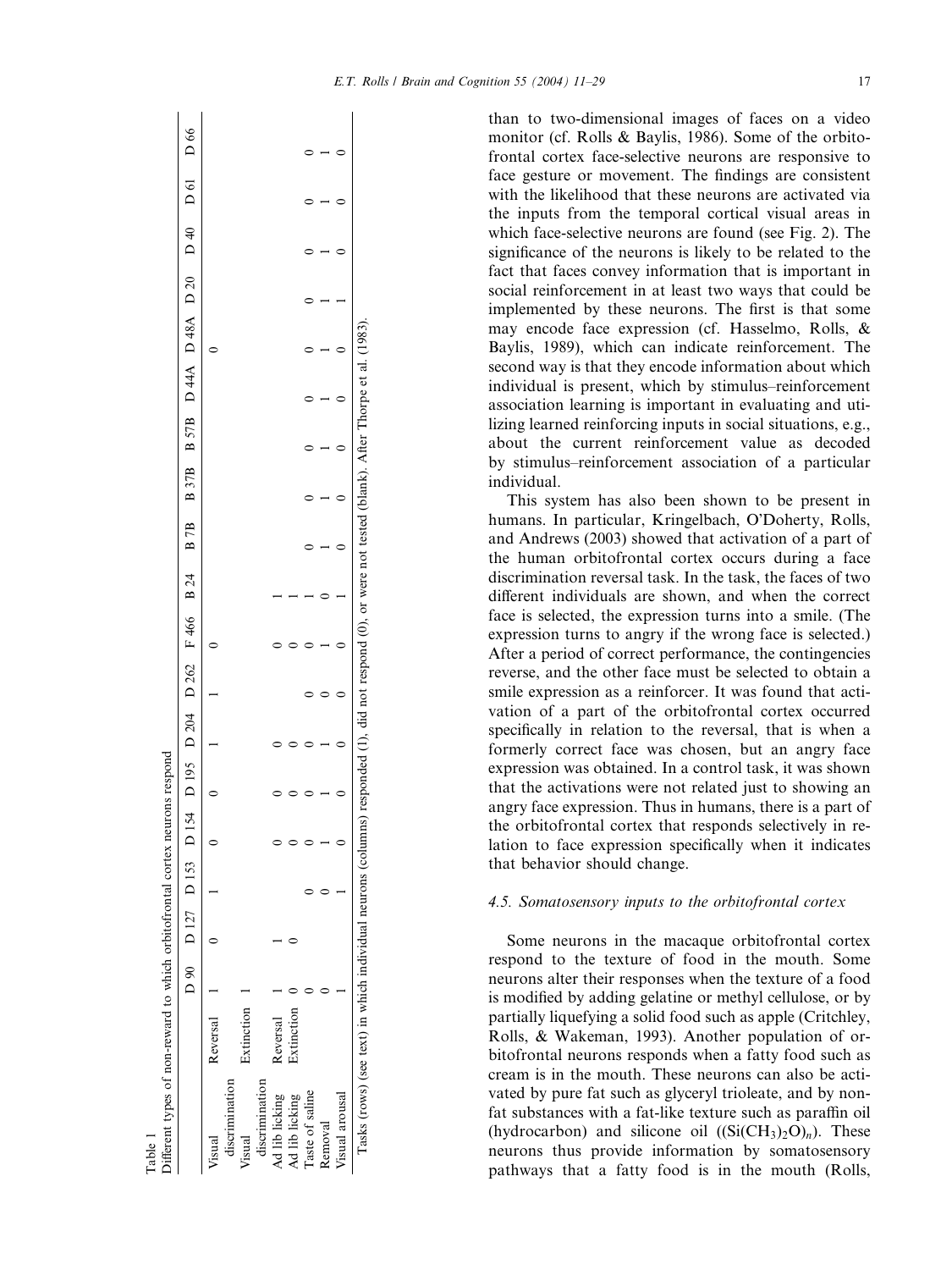$\mathbf{r}$ 

than to two-dimensional images of faces on a video monitor (cf. Rolls & Baylis, 1986). Some of the orbitofrontal cortex face-selective neurons are responsive to face gesture or movement. The findings are consistent with the likelihood that these neurons are activated via the inputs from the temporal cortical visual areas in which face-selective neurons are found (see Fig. 2). The significance of the neurons is likely to be related to the fact that faces convey information that is important in social reinforcement in at least two ways that could be implemented by these neurons. The first is that some may encode face expression (cf. Hasselmo, Rolls, & Baylis, 1989), which can indicate reinforcement. The second way is that they encode information about which individual is present, which by stimulus–reinforcement association learning is important in evaluating and utilizing learned reinforcing inputs in social situations, e.g., about the current reinforcement value as decoded by stimulus–reinforcement association of a particular individual.

This system has also been shown to be present in humans. In particular, Kringelbach, O'Doherty, Rolls, and Andrews (2003) showed that activation of a part of the human orbitofrontal cortex occurs during a face discrimination reversal task. In the task, the faces of two different individuals are shown, and when the correct face is selected, the expression turns into a smile. (The expression turns to angry if the wrong face is selected.) After a period of correct performance, the contingencies reverse, and the other face must be selected to obtain a smile expression as a reinforcer. It was found that activation of a part of the orbitofrontal cortex occurred specifically in relation to the reversal, that is when a formerly correct face was chosen, but an angry face expression was obtained. In a control task, it was shown that the activations were not related just to showing an angry face expression. Thus in humans, there is a part of the orbitofrontal cortex that responds selectively in relation to face expression specifically when it indicates that behavior should change.

## 4.5. Somatosensory inputs to the orbitofrontal cortex

Some neurons in the macaque orbitofrontal cortex respond to the texture of food in the mouth. Some neurons alter their responses when the texture of a food is modified by adding gelatine or methyl cellulose, or by partially liquefying a solid food such as apple (Critchley, Rolls, & Wakeman, 1993). Another population of orbitofrontal neurons responds when a fatty food such as cream is in the mouth. These neurons can also be activated by pure fat such as glyceryl trioleate, and by nonfat substances with a fat-like texture such as paraffin oil (hydrocarbon) and silicone oil  $((Si(CH_3)_2O)_n)$ . These neurons thus provide information by somatosensory pathways that a fatty food is in the mouth (Rolls,

| Different types of non-reward to which orbitofrontal cortex neurons respond<br>Table 1                                                                   |            |                    |  |  |                                                                                    |  |  |  |  |  |  |
|----------------------------------------------------------------------------------------------------------------------------------------------------------|------------|--------------------|--|--|------------------------------------------------------------------------------------|--|--|--|--|--|--|
|                                                                                                                                                          |            | D 90 D 127 D 153 D |  |  | 134 D 195 D 204 D 262 F 466 B 24 B 37B B 37B D 44A D 44A D 48A D 20 D 40 D 60 D 66 |  |  |  |  |  |  |
| discrimination<br>/isual                                                                                                                                 | Reversal   |                    |  |  |                                                                                    |  |  |  |  |  |  |
| Visual                                                                                                                                                   | Extinction |                    |  |  |                                                                                    |  |  |  |  |  |  |
| discrimination                                                                                                                                           |            |                    |  |  |                                                                                    |  |  |  |  |  |  |
| Ad lib licking                                                                                                                                           | Reversal   |                    |  |  |                                                                                    |  |  |  |  |  |  |
| Ad lib licking                                                                                                                                           | Extinction |                    |  |  |                                                                                    |  |  |  |  |  |  |
| Taste of saline                                                                                                                                          |            |                    |  |  |                                                                                    |  |  |  |  |  |  |
| Removal                                                                                                                                                  |            |                    |  |  |                                                                                    |  |  |  |  |  |  |
| Visual arousal                                                                                                                                           |            |                    |  |  |                                                                                    |  |  |  |  |  |  |
| Tasks (rows) (see text) in which individual neurons (columns) responded (1), did not respond (0), or were not tested (blank). After Thorpe et al. (1983) |            |                    |  |  |                                                                                    |  |  |  |  |  |  |

 $\mathbf{r} = \mathbf{r}$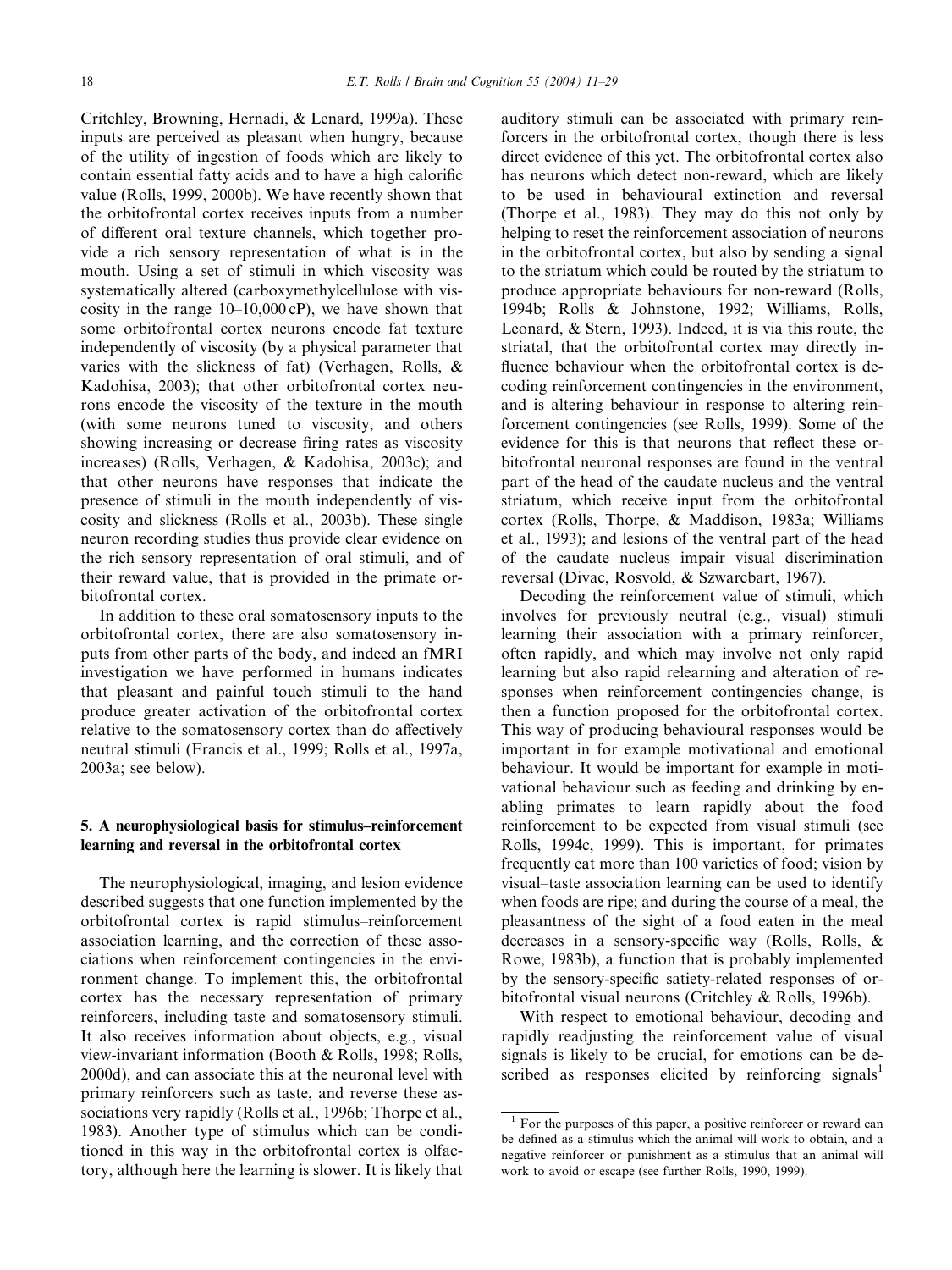Critchley, Browning, Hernadi, & Lenard, 1999a). These inputs are perceived as pleasant when hungry, because of the utility of ingestion of foods which are likely to contain essential fatty acids and to have a high calorific value (Rolls, 1999, 2000b). We have recently shown that the orbitofrontal cortex receives inputs from a number of different oral texture channels, which together provide a rich sensory representation of what is in the mouth. Using a set of stimuli in which viscosity was systematically altered (carboxymethylcellulose with viscosity in the range  $10-10,000$  cP), we have shown that some orbitofrontal cortex neurons encode fat texture independently of viscosity (by a physical parameter that varies with the slickness of fat) (Verhagen, Rolls, & Kadohisa, 2003); that other orbitofrontal cortex neurons encode the viscosity of the texture in the mouth (with some neurons tuned to viscosity, and others showing increasing or decrease firing rates as viscosity increases) (Rolls, Verhagen, & Kadohisa, 2003c); and that other neurons have responses that indicate the presence of stimuli in the mouth independently of viscosity and slickness (Rolls et al., 2003b). These single neuron recording studies thus provide clear evidence on the rich sensory representation of oral stimuli, and of their reward value, that is provided in the primate orbitofrontal cortex.

In addition to these oral somatosensory inputs to the orbitofrontal cortex, there are also somatosensory inputs from other parts of the body, and indeed an fMRI investigation we have performed in humans indicates that pleasant and painful touch stimuli to the hand produce greater activation of the orbitofrontal cortex relative to the somatosensory cortex than do affectively neutral stimuli (Francis et al., 1999; Rolls et al., 1997a, 2003a; see below).

## 5. A neurophysiological basis for stimulus–reinforcement learning and reversal in the orbitofrontal cortex

The neurophysiological, imaging, and lesion evidence described suggests that one function implemented by the orbitofrontal cortex is rapid stimulus–reinforcement association learning, and the correction of these associations when reinforcement contingencies in the environment change. To implement this, the orbitofrontal cortex has the necessary representation of primary reinforcers, including taste and somatosensory stimuli. It also receives information about objects, e.g., visual view-invariant information (Booth & Rolls, 1998; Rolls, 2000d), and can associate this at the neuronal level with primary reinforcers such as taste, and reverse these associations very rapidly (Rolls et al., 1996b; Thorpe et al., 1983). Another type of stimulus which can be conditioned in this way in the orbitofrontal cortex is olfactory, although here the learning is slower. It is likely that auditory stimuli can be associated with primary reinforcers in the orbitofrontal cortex, though there is less direct evidence of this yet. The orbitofrontal cortex also has neurons which detect non-reward, which are likely to be used in behavioural extinction and reversal (Thorpe et al., 1983). They may do this not only by helping to reset the reinforcement association of neurons in the orbitofrontal cortex, but also by sending a signal to the striatum which could be routed by the striatum to produce appropriate behaviours for non-reward (Rolls, 1994b; Rolls & Johnstone, 1992; Williams, Rolls, Leonard, & Stern, 1993). Indeed, it is via this route, the striatal, that the orbitofrontal cortex may directly influence behaviour when the orbitofrontal cortex is decoding reinforcement contingencies in the environment, and is altering behaviour in response to altering reinforcement contingencies (see Rolls, 1999). Some of the evidence for this is that neurons that reflect these orbitofrontal neuronal responses are found in the ventral part of the head of the caudate nucleus and the ventral striatum, which receive input from the orbitofrontal cortex (Rolls, Thorpe, & Maddison, 1983a; Williams et al., 1993); and lesions of the ventral part of the head of the caudate nucleus impair visual discrimination reversal (Divac, Rosvold, & Szwarcbart, 1967).

Decoding the reinforcement value of stimuli, which involves for previously neutral (e.g., visual) stimuli learning their association with a primary reinforcer, often rapidly, and which may involve not only rapid learning but also rapid relearning and alteration of responses when reinforcement contingencies change, is then a function proposed for the orbitofrontal cortex. This way of producing behavioural responses would be important in for example motivational and emotional behaviour. It would be important for example in motivational behaviour such as feeding and drinking by enabling primates to learn rapidly about the food reinforcement to be expected from visual stimuli (see Rolls, 1994c, 1999). This is important, for primates frequently eat more than 100 varieties of food; vision by visual–taste association learning can be used to identify when foods are ripe; and during the course of a meal, the pleasantness of the sight of a food eaten in the meal decreases in a sensory-specific way (Rolls, Rolls, & Rowe, 1983b), a function that is probably implemented by the sensory-specific satiety-related responses of orbitofrontal visual neurons (Critchley & Rolls, 1996b).

With respect to emotional behaviour, decoding and rapidly readjusting the reinforcement value of visual signals is likely to be crucial, for emotions can be described as responses elicited by reinforcing signals<sup>1</sup>

 $1$  For the purposes of this paper, a positive reinforcer or reward can be defined as a stimulus which the animal will work to obtain, and a negative reinforcer or punishment as a stimulus that an animal will work to avoid or escape (see further Rolls, 1990, 1999).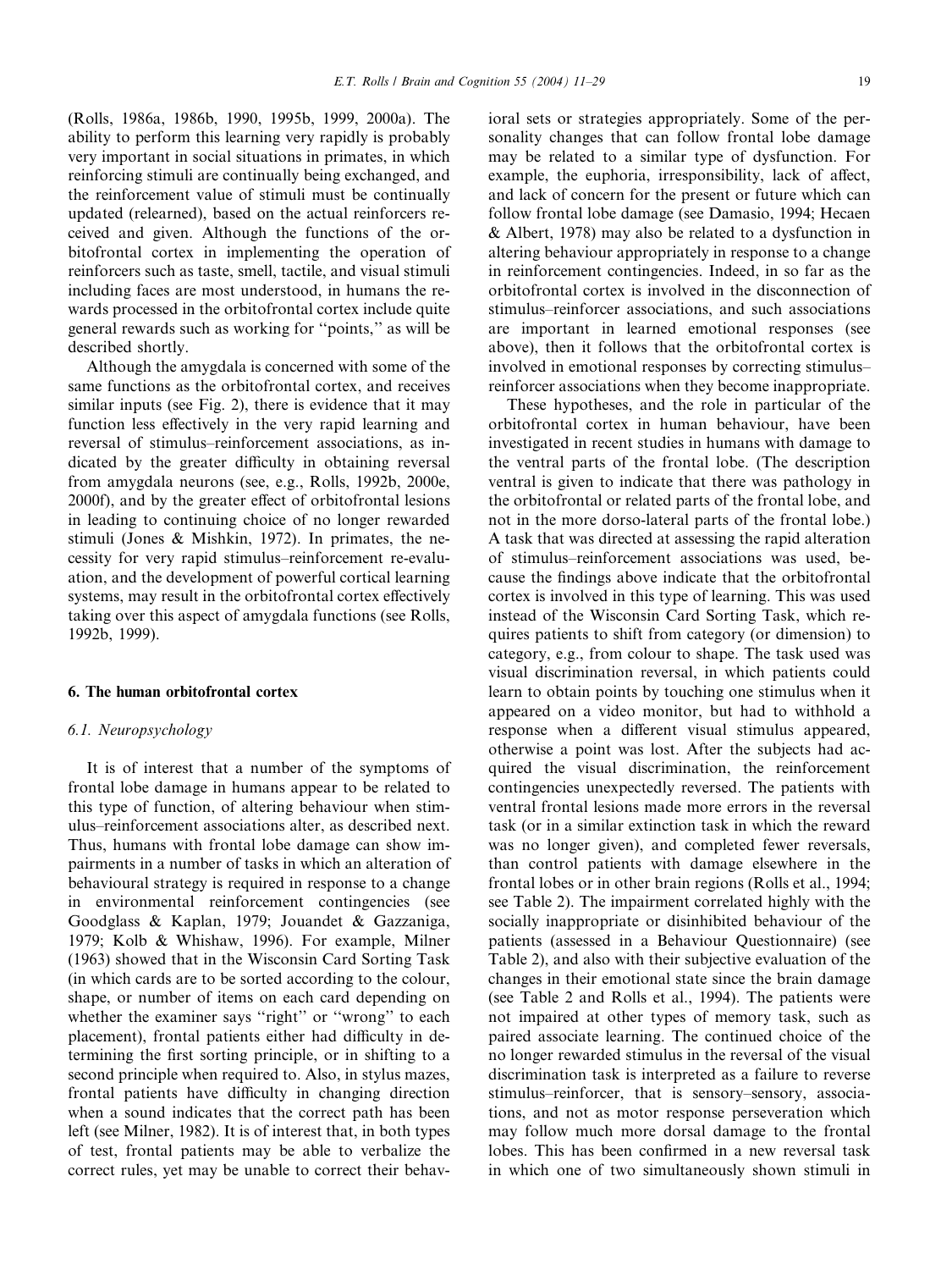(Rolls, 1986a, 1986b, 1990, 1995b, 1999, 2000a). The ability to perform this learning very rapidly is probably very important in social situations in primates, in which reinforcing stimuli are continually being exchanged, and the reinforcement value of stimuli must be continually updated (relearned), based on the actual reinforcers received and given. Although the functions of the orbitofrontal cortex in implementing the operation of reinforcers such as taste, smell, tactile, and visual stimuli including faces are most understood, in humans the rewards processed in the orbitofrontal cortex include quite general rewards such as working for ''points,'' as will be described shortly.

Although the amygdala is concerned with some of the same functions as the orbitofrontal cortex, and receives similar inputs (see Fig. 2), there is evidence that it may function less effectively in the very rapid learning and reversal of stimulus–reinforcement associations, as indicated by the greater difficulty in obtaining reversal from amygdala neurons (see, e.g., Rolls, 1992b, 2000e, 2000f), and by the greater effect of orbitofrontal lesions in leading to continuing choice of no longer rewarded stimuli (Jones & Mishkin, 1972). In primates, the necessity for very rapid stimulus–reinforcement re-evaluation, and the development of powerful cortical learning systems, may result in the orbitofrontal cortex effectively taking over this aspect of amygdala functions (see Rolls, 1992b, 1999).

#### 6. The human orbitofrontal cortex

## 6.1. Neuropsychology

It is of interest that a number of the symptoms of frontal lobe damage in humans appear to be related to this type of function, of altering behaviour when stimulus–reinforcement associations alter, as described next. Thus, humans with frontal lobe damage can show impairments in a number of tasks in which an alteration of behavioural strategy is required in response to a change in environmental reinforcement contingencies (see Goodglass & Kaplan, 1979; Jouandet & Gazzaniga, 1979; Kolb & Whishaw, 1996). For example, Milner (1963) showed that in the Wisconsin Card Sorting Task (in which cards are to be sorted according to the colour, shape, or number of items on each card depending on whether the examiner says "right" or "wrong" to each placement), frontal patients either had difficulty in determining the first sorting principle, or in shifting to a second principle when required to. Also, in stylus mazes, frontal patients have difficulty in changing direction when a sound indicates that the correct path has been left (see Milner, 1982). It is of interest that, in both types of test, frontal patients may be able to verbalize the correct rules, yet may be unable to correct their behavioral sets or strategies appropriately. Some of the personality changes that can follow frontal lobe damage may be related to a similar type of dysfunction. For example, the euphoria, irresponsibility, lack of affect, and lack of concern for the present or future which can follow frontal lobe damage (see Damasio, 1994; Hecaen & Albert, 1978) may also be related to a dysfunction in altering behaviour appropriately in response to a change in reinforcement contingencies. Indeed, in so far as the orbitofrontal cortex is involved in the disconnection of stimulus–reinforcer associations, and such associations are important in learned emotional responses (see above), then it follows that the orbitofrontal cortex is involved in emotional responses by correcting stimulus– reinforcer associations when they become inappropriate.

These hypotheses, and the role in particular of the orbitofrontal cortex in human behaviour, have been investigated in recent studies in humans with damage to the ventral parts of the frontal lobe. (The description ventral is given to indicate that there was pathology in the orbitofrontal or related parts of the frontal lobe, and not in the more dorso-lateral parts of the frontal lobe.) A task that was directed at assessing the rapid alteration of stimulus–reinforcement associations was used, because the findings above indicate that the orbitofrontal cortex is involved in this type of learning. This was used instead of the Wisconsin Card Sorting Task, which requires patients to shift from category (or dimension) to category, e.g., from colour to shape. The task used was visual discrimination reversal, in which patients could learn to obtain points by touching one stimulus when it appeared on a video monitor, but had to withhold a response when a different visual stimulus appeared, otherwise a point was lost. After the subjects had acquired the visual discrimination, the reinforcement contingencies unexpectedly reversed. The patients with ventral frontal lesions made more errors in the reversal task (or in a similar extinction task in which the reward was no longer given), and completed fewer reversals, than control patients with damage elsewhere in the frontal lobes or in other brain regions (Rolls et al., 1994; see Table 2). The impairment correlated highly with the socially inappropriate or disinhibited behaviour of the patients (assessed in a Behaviour Questionnaire) (see Table 2), and also with their subjective evaluation of the changes in their emotional state since the brain damage (see Table 2 and Rolls et al., 1994). The patients were not impaired at other types of memory task, such as paired associate learning. The continued choice of the no longer rewarded stimulus in the reversal of the visual discrimination task is interpreted as a failure to reverse stimulus–reinforcer, that is sensory–sensory, associations, and not as motor response perseveration which may follow much more dorsal damage to the frontal lobes. This has been confirmed in a new reversal task in which one of two simultaneously shown stimuli in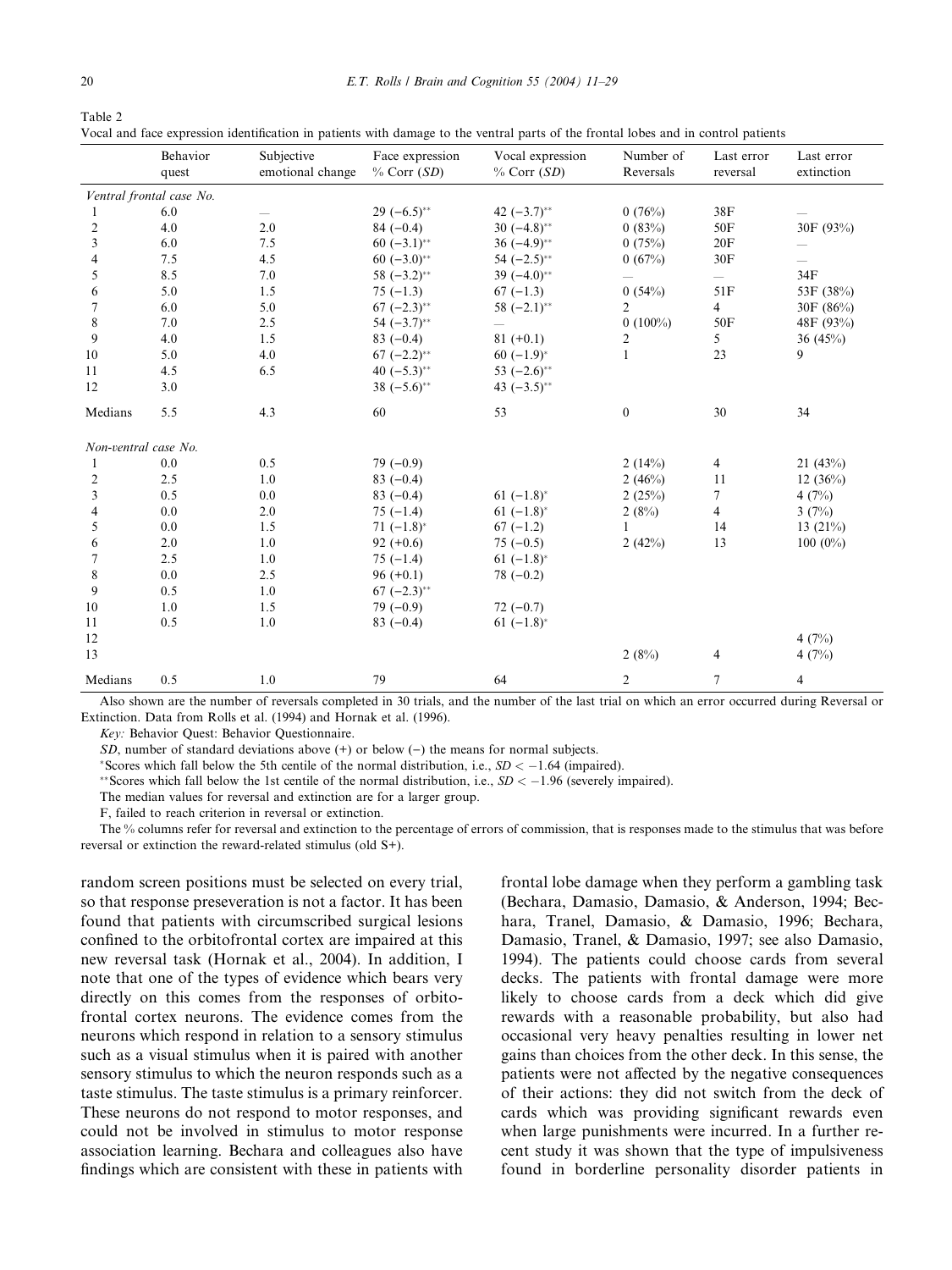| Table 2                                                                                              |  |  |
|------------------------------------------------------------------------------------------------------|--|--|
| Vocal and face expression identification in patients with damage to the ventral parts of the frontal |  |  |

|                          | Behavior<br>quest | Subjective<br>emotional change | Face expression<br>$\%$ Corr $(SD)$ | Vocal expression<br>$%$ Corr $(SD)$ | Number of<br>Reversals | Last error<br>reversal          | Last error<br>extinction               |
|--------------------------|-------------------|--------------------------------|-------------------------------------|-------------------------------------|------------------------|---------------------------------|----------------------------------------|
|                          |                   |                                |                                     |                                     |                        |                                 |                                        |
| Ventral frontal case No. | 6.0               |                                | $29(-6.5)$ **                       | 42 $(-3.7)$ **                      | 0(76%)                 | 38F                             |                                        |
| $\mathfrak{2}$           | 4.0               | 2.0                            | $84(-0.4)$                          | $30 (-4.8)$ **                      | 0(83%)                 | 50F                             | 30F (93%)                              |
| 3                        | 6.0               | 7.5                            | $60 (-3.1)$ **                      | $36(-4.9)$ **                       | 0(75%)                 | 20F                             |                                        |
| 4                        | 7.5               | 4.5                            | $60 (-3.0)^{**}$                    | 54 $(-2.5)$ <sup>**</sup>           | 0(67%)                 | 30F                             |                                        |
| 5                        | 8.5               | 7.0                            | $58 (-3.2)$ **                      | 39 $(-4.0)$ **                      |                        |                                 | $\overbrace{\qquad \qquad }^{}$<br>34F |
| 6                        | 5.0               | 1.5                            | $75(-1.3)$                          | $67(-1.3)$                          | 0(54%)                 | $\overline{\phantom{0}}$<br>51F | 53F (38%)                              |
| 7                        | 6.0               | 5.0                            |                                     |                                     | $\overline{2}$         | $\overline{4}$                  |                                        |
| 8                        | 7.0               |                                | $67 (-2.3)$ **                      | 58 $(-2.1)$ **                      |                        | 50F                             | 30F (86%)                              |
|                          |                   | 2.5                            | $54 (-3.7)$ **                      |                                     | 0 $(100\%)$            |                                 | 48F (93%)                              |
| 9                        | 4.0               | 1.5                            | $83(-0.4)$                          | $81 (+0.1)$                         | 2                      | 5                               | 36 $(45%)$                             |
| 10                       | 5.0               | 4.0                            | $67 (-2.2)$ **                      | $60 (-1.9)^{*}$                     | $\mathbf{1}$           | 23                              | 9                                      |
| 11                       | 4.5               | 6.5                            | 40 $(-5.3)$ **                      | 53 $(-2.6)$ **                      |                        |                                 |                                        |
| 12                       | 3.0               |                                | $38 (-5.6)$ **                      | 43 $(-3.5)$ <sup>**</sup>           |                        |                                 |                                        |
| Medians                  | 5.5               | 4.3                            | 60                                  | 53                                  | $\mathbf{0}$           | 30                              | 34                                     |
| Non-ventral case No.     |                   |                                |                                     |                                     |                        |                                 |                                        |
|                          | 0.0               | 0.5                            | $79(-0.9)$                          |                                     | 2(14%)                 | $\overline{4}$                  | 21(43%)                                |
| $\mathfrak{2}$           | 2.5               | 1.0                            | $83(-0.4)$                          |                                     | 2(46%)                 | 11                              | 12 $(36\%)$                            |
| 3                        | 0.5               | 0.0                            | $83(-0.4)$                          | $61 (-1.8)^*$                       | 2(25%)                 | $\boldsymbol{7}$                | 4 $(7%)$                               |
| 4                        | 0.0               | 2.0                            | $75(-1.4)$                          | 61 $(-1.8)^*$                       | 2(8%)                  | $\overline{4}$                  | 3(7%)                                  |
| 5                        | 0.0               | 1.5                            | $71 (-1.8)^*$                       | $67(-1.2)$                          | 1                      | 14                              | 13 $(21\%)$                            |
| 6                        | 2.0               | 1.0                            | $92 (+0.6)$                         | $75(-0.5)$                          | 2(42%)                 | 13                              | $100(0\%)$                             |
| 7                        | 2.5               | 1.0                            | $75(-1.4)$                          | $61 (-1.8)^*$                       |                        |                                 |                                        |
| 8                        | 0.0               | 2.5                            | $96 (+0.1)$                         | $78(-0.2)$                          |                        |                                 |                                        |
| 9                        | 0.5               | 1.0                            | $67 (-2.3)$ **                      |                                     |                        |                                 |                                        |
| 10                       | 1.0               | 1.5                            | $79(-0.9)$                          | $72(-0.7)$                          |                        |                                 |                                        |
| 11                       | 0.5               | 1.0                            | $83(-0.4)$                          | $61 (-1.8)^*$                       |                        |                                 |                                        |
| 12                       |                   |                                |                                     |                                     |                        |                                 | 4 $(7%)$                               |
| 13                       |                   |                                |                                     |                                     | 2(8%)                  | 4                               | 4 $(7%)$                               |
| Medians                  | 0.5               | 1.0                            | 79                                  | 64                                  | 2                      | $\tau$                          | $\overline{4}$                         |

Also shown are the number of reversals completed in 30 trials, and the number of the last trial on which an error occurred during Reversal or Extinction. Data from Rolls et al. (1994) and Hornak et al. (1996).

Key: Behavior Quest: Behavior Questionnaire.

SD, number of standard deviations above  $(+)$  or below  $(-)$  the means for normal subjects.

\*Scores which fall below the 5th centile of the normal distribution, i.e.,  $SD < -1.64$  (impaired).

\*Scores which fall below the 1st centile of the normal distribution, i.e.,  $SD < -1.96$  (severely impaired).

The median values for reversal and extinction are for a larger group.

F, failed to reach criterion in reversal or extinction.

The % columns refer for reversal and extinction to the percentage of errors of commission, that is responses made to the stimulus that was before reversal or extinction the reward-related stimulus (old S+).

random screen positions must be selected on every trial, so that response preseveration is not a factor. It has been found that patients with circumscribed surgical lesions confined to the orbitofrontal cortex are impaired at this new reversal task (Hornak et al., 2004). In addition, I note that one of the types of evidence which bears very directly on this comes from the responses of orbitofrontal cortex neurons. The evidence comes from the neurons which respond in relation to a sensory stimulus such as a visual stimulus when it is paired with another sensory stimulus to which the neuron responds such as a taste stimulus. The taste stimulus is a primary reinforcer. These neurons do not respond to motor responses, and could not be involved in stimulus to motor response association learning. Bechara and colleagues also have findings which are consistent with these in patients with frontal lobe damage when they perform a gambling task (Bechara, Damasio, Damasio, & Anderson, 1994; Bechara, Tranel, Damasio, & Damasio, 1996; Bechara, Damasio, Tranel, & Damasio, 1997; see also Damasio, 1994). The patients could choose cards from several decks. The patients with frontal damage were more likely to choose cards from a deck which did give rewards with a reasonable probability, but also had occasional very heavy penalties resulting in lower net gains than choices from the other deck. In this sense, the patients were not affected by the negative consequences of their actions: they did not switch from the deck of cards which was providing significant rewards even when large punishments were incurred. In a further recent study it was shown that the type of impulsiveness found in borderline personality disorder patients in

lobes and in control patients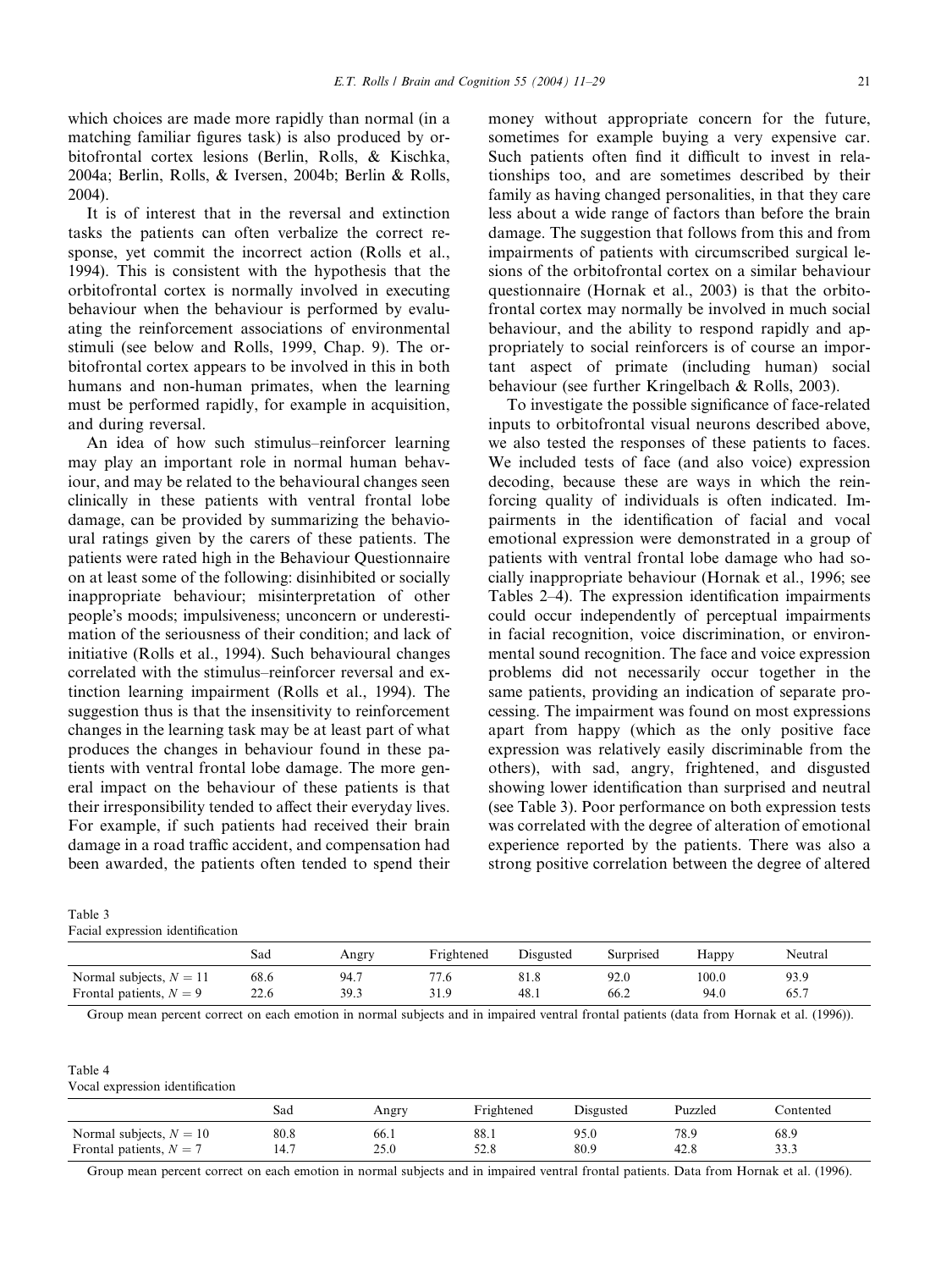which choices are made more rapidly than normal (in a matching familiar figures task) is also produced by orbitofrontal cortex lesions (Berlin, Rolls, & Kischka, 2004a; Berlin, Rolls, & Iversen, 2004b; Berlin & Rolls, 2004).

It is of interest that in the reversal and extinction tasks the patients can often verbalize the correct response, yet commit the incorrect action (Rolls et al., 1994). This is consistent with the hypothesis that the orbitofrontal cortex is normally involved in executing behaviour when the behaviour is performed by evaluating the reinforcement associations of environmental stimuli (see below and Rolls, 1999, Chap. 9). The orbitofrontal cortex appears to be involved in this in both humans and non-human primates, when the learning must be performed rapidly, for example in acquisition, and during reversal.

An idea of how such stimulus–reinforcer learning may play an important role in normal human behaviour, and may be related to the behavioural changes seen clinically in these patients with ventral frontal lobe damage, can be provided by summarizing the behavioural ratings given by the carers of these patients. The patients were rated high in the Behaviour Questionnaire on at least some of the following: disinhibited or socially inappropriate behaviour; misinterpretation of other people's moods; impulsiveness; unconcern or underestimation of the seriousness of their condition; and lack of initiative (Rolls et al., 1994). Such behavioural changes correlated with the stimulus–reinforcer reversal and extinction learning impairment (Rolls et al., 1994). The suggestion thus is that the insensitivity to reinforcement changes in the learning task may be at least part of what produces the changes in behaviour found in these patients with ventral frontal lobe damage. The more general impact on the behaviour of these patients is that their irresponsibility tended to affect their everyday lives. For example, if such patients had received their brain damage in a road traffic accident, and compensation had been awarded, the patients often tended to spend their

money without appropriate concern for the future, sometimes for example buying a very expensive car. Such patients often find it difficult to invest in relationships too, and are sometimes described by their family as having changed personalities, in that they care less about a wide range of factors than before the brain damage. The suggestion that follows from this and from impairments of patients with circumscribed surgical lesions of the orbitofrontal cortex on a similar behaviour questionnaire (Hornak et al., 2003) is that the orbitofrontal cortex may normally be involved in much social behaviour, and the ability to respond rapidly and appropriately to social reinforcers is of course an important aspect of primate (including human) social behaviour (see further Kringelbach & Rolls, 2003).

To investigate the possible significance of face-related inputs to orbitofrontal visual neurons described above, we also tested the responses of these patients to faces. We included tests of face (and also voice) expression decoding, because these are ways in which the reinforcing quality of individuals is often indicated. Impairments in the identification of facial and vocal emotional expression were demonstrated in a group of patients with ventral frontal lobe damage who had socially inappropriate behaviour (Hornak et al., 1996; see Tables 2–4). The expression identification impairments could occur independently of perceptual impairments in facial recognition, voice discrimination, or environmental sound recognition. The face and voice expression problems did not necessarily occur together in the same patients, providing an indication of separate processing. The impairment was found on most expressions apart from happy (which as the only positive face expression was relatively easily discriminable from the others), with sad, angry, frightened, and disgusted showing lower identification than surprised and neutral (see Table 3). Poor performance on both expression tests was correlated with the degree of alteration of emotional experience reported by the patients. There was also a strong positive correlation between the degree of altered

| Table 3                          |  |
|----------------------------------|--|
| Facial expression identification |  |

|                           | Sad  | Angry | Frightened | Disgusted | Surprised | Happy | Neutral |
|---------------------------|------|-------|------------|-----------|-----------|-------|---------|
| Normal subjects, $N = 11$ | 68.6 | 94.7  | 77.6       | 81.8      | 92.0      | 100.0 | 93.9    |
| Frontal patients, $N = 9$ | 22.6 | 39.3  | 31.9       | 48.1      | 66.2      | 94.0  | 65.7    |

Group mean percent correct on each emotion in normal subjects and in impaired ventral frontal patients (data from Hornak et al. (1996)).

Table 4

Vocal expression identification

|                           | Sad  | Angry | Frightened | Disgusted | Puzzled | Contented |
|---------------------------|------|-------|------------|-----------|---------|-----------|
| Normal subjects, $N = 10$ | 80.8 | -66.1 | 88.1       | 95.0      | 78.9    | 68.9      |
| Frontal patients, $N = 7$ | 14.7 | 25.0  | 52.8       | 80.9      | 42.8    | 33.3      |

Group mean percent correct on each emotion in normal subjects and in impaired ventral frontal patients. Data from Hornak et al. (1996).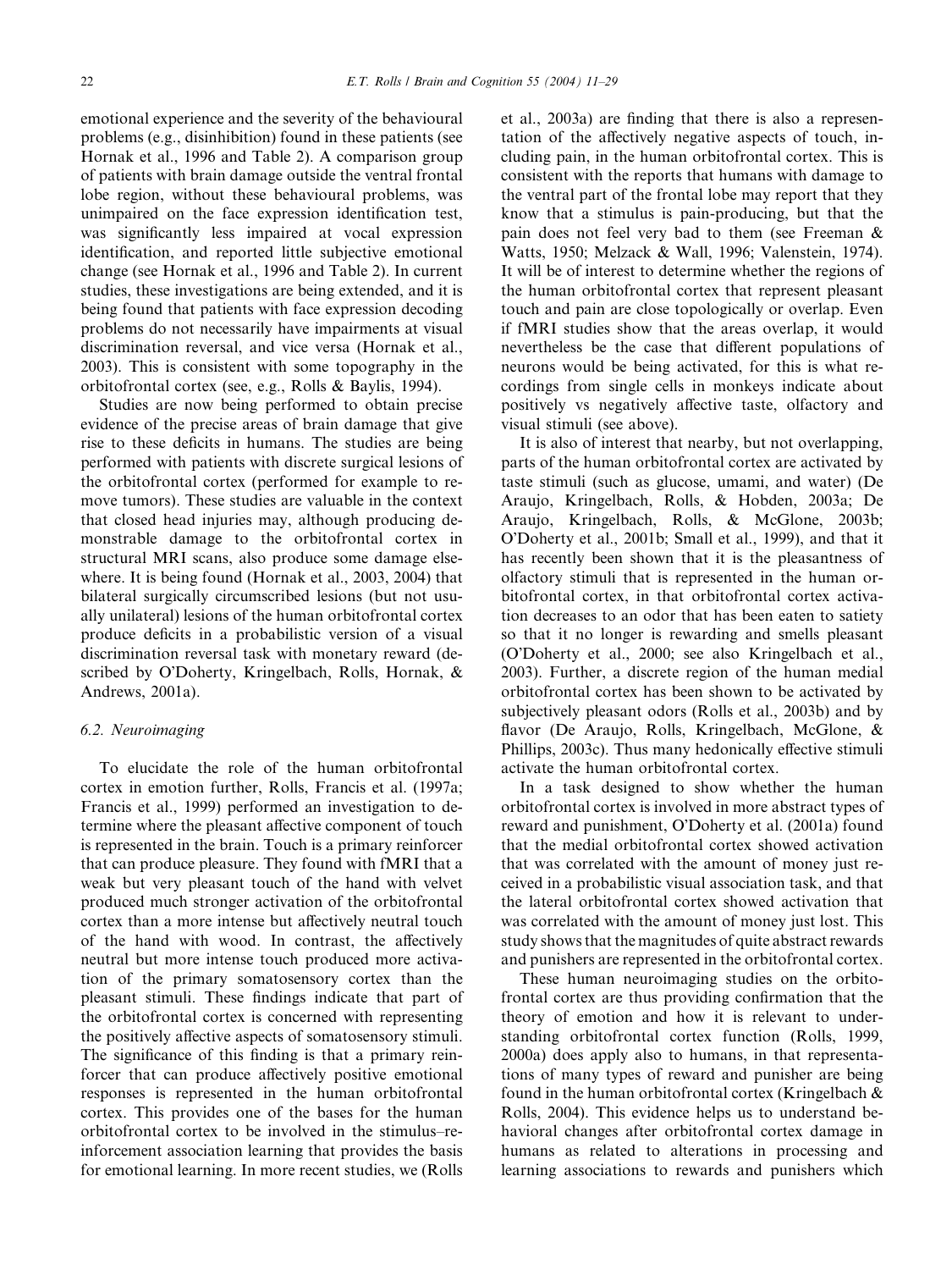emotional experience and the severity of the behavioural problems (e.g., disinhibition) found in these patients (see Hornak et al., 1996 and Table 2). A comparison group of patients with brain damage outside the ventral frontal lobe region, without these behavioural problems, was unimpaired on the face expression identification test, was significantly less impaired at vocal expression identification, and reported little subjective emotional change (see Hornak et al., 1996 and Table 2). In current studies, these investigations are being extended, and it is being found that patients with face expression decoding problems do not necessarily have impairments at visual discrimination reversal, and vice versa (Hornak et al., 2003). This is consistent with some topography in the orbitofrontal cortex (see, e.g., Rolls & Baylis, 1994).

Studies are now being performed to obtain precise evidence of the precise areas of brain damage that give rise to these deficits in humans. The studies are being performed with patients with discrete surgical lesions of the orbitofrontal cortex (performed for example to remove tumors). These studies are valuable in the context that closed head injuries may, although producing demonstrable damage to the orbitofrontal cortex in structural MRI scans, also produce some damage elsewhere. It is being found (Hornak et al., 2003, 2004) that bilateral surgically circumscribed lesions (but not usually unilateral) lesions of the human orbitofrontal cortex produce deficits in a probabilistic version of a visual discrimination reversal task with monetary reward (described by O'Doherty, Kringelbach, Rolls, Hornak, & Andrews, 2001a).

## 6.2. Neuroimaging

To elucidate the role of the human orbitofrontal cortex in emotion further, Rolls, Francis et al. (1997a; Francis et al., 1999) performed an investigation to determine where the pleasant affective component of touch is represented in the brain. Touch is a primary reinforcer that can produce pleasure. They found with fMRI that a weak but very pleasant touch of the hand with velvet produced much stronger activation of the orbitofrontal cortex than a more intense but affectively neutral touch of the hand with wood. In contrast, the affectively neutral but more intense touch produced more activation of the primary somatosensory cortex than the pleasant stimuli. These findings indicate that part of the orbitofrontal cortex is concerned with representing the positively affective aspects of somatosensory stimuli. The significance of this finding is that a primary reinforcer that can produce affectively positive emotional responses is represented in the human orbitofrontal cortex. This provides one of the bases for the human orbitofrontal cortex to be involved in the stimulus–reinforcement association learning that provides the basis for emotional learning. In more recent studies, we (Rolls

et al., 2003a) are finding that there is also a representation of the affectively negative aspects of touch, including pain, in the human orbitofrontal cortex. This is consistent with the reports that humans with damage to the ventral part of the frontal lobe may report that they know that a stimulus is pain-producing, but that the pain does not feel very bad to them (see Freeman & Watts, 1950; Melzack & Wall, 1996; Valenstein, 1974). It will be of interest to determine whether the regions of the human orbitofrontal cortex that represent pleasant touch and pain are close topologically or overlap. Even if fMRI studies show that the areas overlap, it would nevertheless be the case that different populations of neurons would be being activated, for this is what recordings from single cells in monkeys indicate about positively vs negatively affective taste, olfactory and visual stimuli (see above).

It is also of interest that nearby, but not overlapping, parts of the human orbitofrontal cortex are activated by taste stimuli (such as glucose, umami, and water) (De Araujo, Kringelbach, Rolls, & Hobden, 2003a; De Araujo, Kringelbach, Rolls, & McGlone, 2003b; O'Doherty et al., 2001b; Small et al., 1999), and that it has recently been shown that it is the pleasantness of olfactory stimuli that is represented in the human orbitofrontal cortex, in that orbitofrontal cortex activation decreases to an odor that has been eaten to satiety so that it no longer is rewarding and smells pleasant (ODoherty et al., 2000; see also Kringelbach et al., 2003). Further, a discrete region of the human medial orbitofrontal cortex has been shown to be activated by subjectively pleasant odors (Rolls et al., 2003b) and by flavor (De Araujo, Rolls, Kringelbach, McGlone, & Phillips, 2003c). Thus many hedonically effective stimuli activate the human orbitofrontal cortex.

In a task designed to show whether the human orbitofrontal cortex is involved in more abstract types of reward and punishment, O'Doherty et al. (2001a) found that the medial orbitofrontal cortex showed activation that was correlated with the amount of money just received in a probabilistic visual association task, and that the lateral orbitofrontal cortex showed activation that was correlated with the amount of money just lost. This study shows that the magnitudes of quite abstract rewards and punishers are represented in the orbitofrontal cortex.

These human neuroimaging studies on the orbitofrontal cortex are thus providing confirmation that the theory of emotion and how it is relevant to understanding orbitofrontal cortex function (Rolls, 1999, 2000a) does apply also to humans, in that representations of many types of reward and punisher are being found in the human orbitofrontal cortex (Kringelbach & Rolls, 2004). This evidence helps us to understand behavioral changes after orbitofrontal cortex damage in humans as related to alterations in processing and learning associations to rewards and punishers which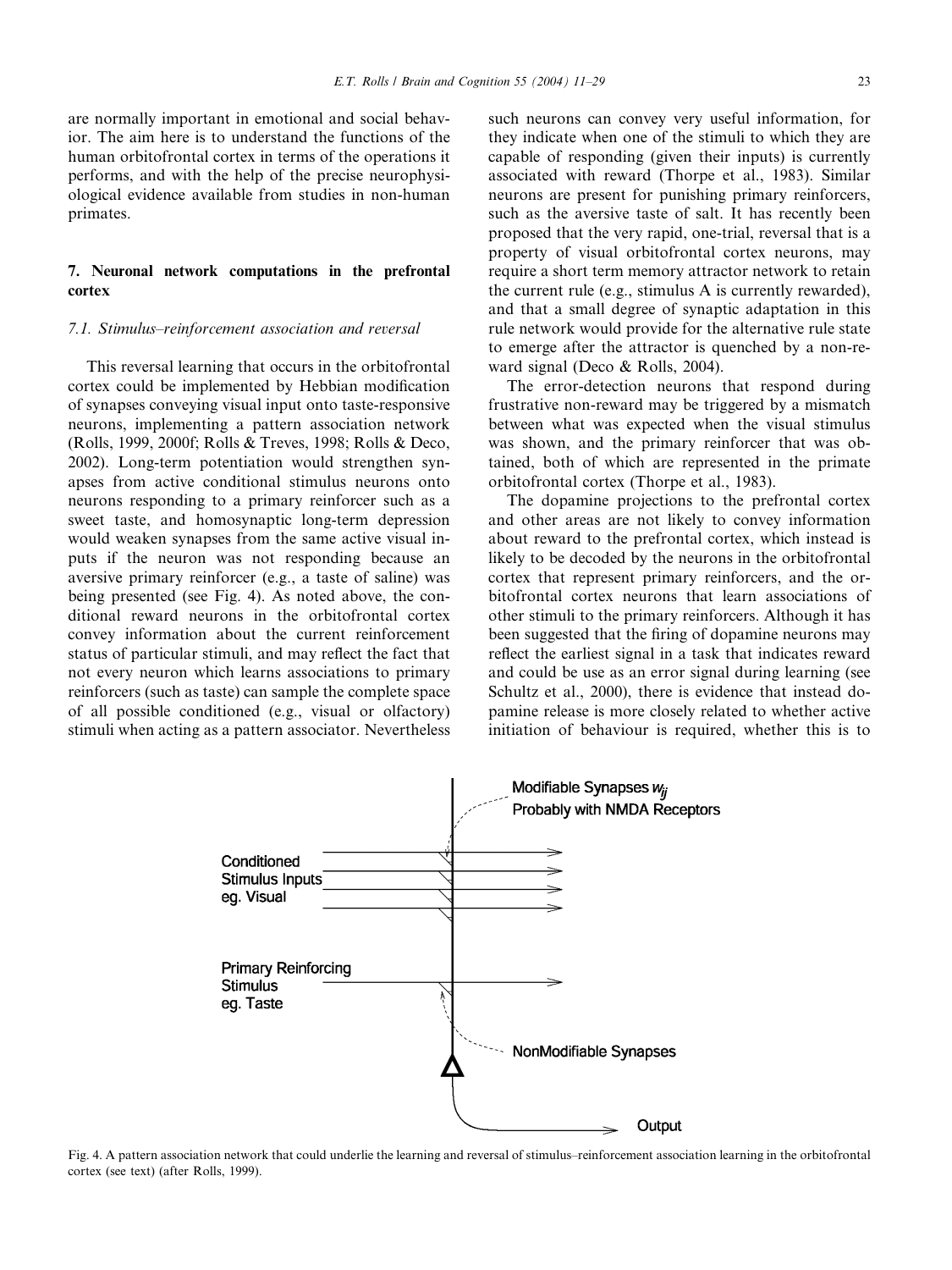are normally important in emotional and social behavior. The aim here is to understand the functions of the human orbitofrontal cortex in terms of the operations it performs, and with the help of the precise neurophysiological evidence available from studies in non-human primates.

## 7. Neuronal network computations in the prefrontal cortex

#### 7.1. Stimulus–reinforcement association and reversal

This reversal learning that occurs in the orbitofrontal cortex could be implemented by Hebbian modification of synapses conveying visual input onto taste-responsive neurons, implementing a pattern association network (Rolls, 1999, 2000f; Rolls & Treves, 1998; Rolls & Deco, 2002). Long-term potentiation would strengthen synapses from active conditional stimulus neurons onto neurons responding to a primary reinforcer such as a sweet taste, and homosynaptic long-term depression would weaken synapses from the same active visual inputs if the neuron was not responding because an aversive primary reinforcer (e.g., a taste of saline) was being presented (see Fig. 4). As noted above, the conditional reward neurons in the orbitofrontal cortex convey information about the current reinforcement status of particular stimuli, and may reflect the fact that not every neuron which learns associations to primary reinforcers (such as taste) can sample the complete space of all possible conditioned (e.g., visual or olfactory) stimuli when acting as a pattern associator. Nevertheless

such neurons can convey very useful information, for they indicate when one of the stimuli to which they are capable of responding (given their inputs) is currently associated with reward (Thorpe et al., 1983). Similar neurons are present for punishing primary reinforcers, such as the aversive taste of salt. It has recently been proposed that the very rapid, one-trial, reversal that is a property of visual orbitofrontal cortex neurons, may require a short term memory attractor network to retain the current rule (e.g., stimulus A is currently rewarded), and that a small degree of synaptic adaptation in this rule network would provide for the alternative rule state to emerge after the attractor is quenched by a non-reward signal (Deco & Rolls, 2004).

The error-detection neurons that respond during frustrative non-reward may be triggered by a mismatch between what was expected when the visual stimulus was shown, and the primary reinforcer that was obtained, both of which are represented in the primate orbitofrontal cortex (Thorpe et al., 1983).

The dopamine projections to the prefrontal cortex and other areas are not likely to convey information about reward to the prefrontal cortex, which instead is likely to be decoded by the neurons in the orbitofrontal cortex that represent primary reinforcers, and the orbitofrontal cortex neurons that learn associations of other stimuli to the primary reinforcers. Although it has been suggested that the firing of dopamine neurons may reflect the earliest signal in a task that indicates reward and could be use as an error signal during learning (see Schultz et al., 2000), there is evidence that instead dopamine release is more closely related to whether active initiation of behaviour is required, whether this is to



Fig. 4. A pattern association network that could underlie the learning and reversal of stimulus–reinforcement association learning in the orbitofrontal cortex (see text) (after Rolls, 1999).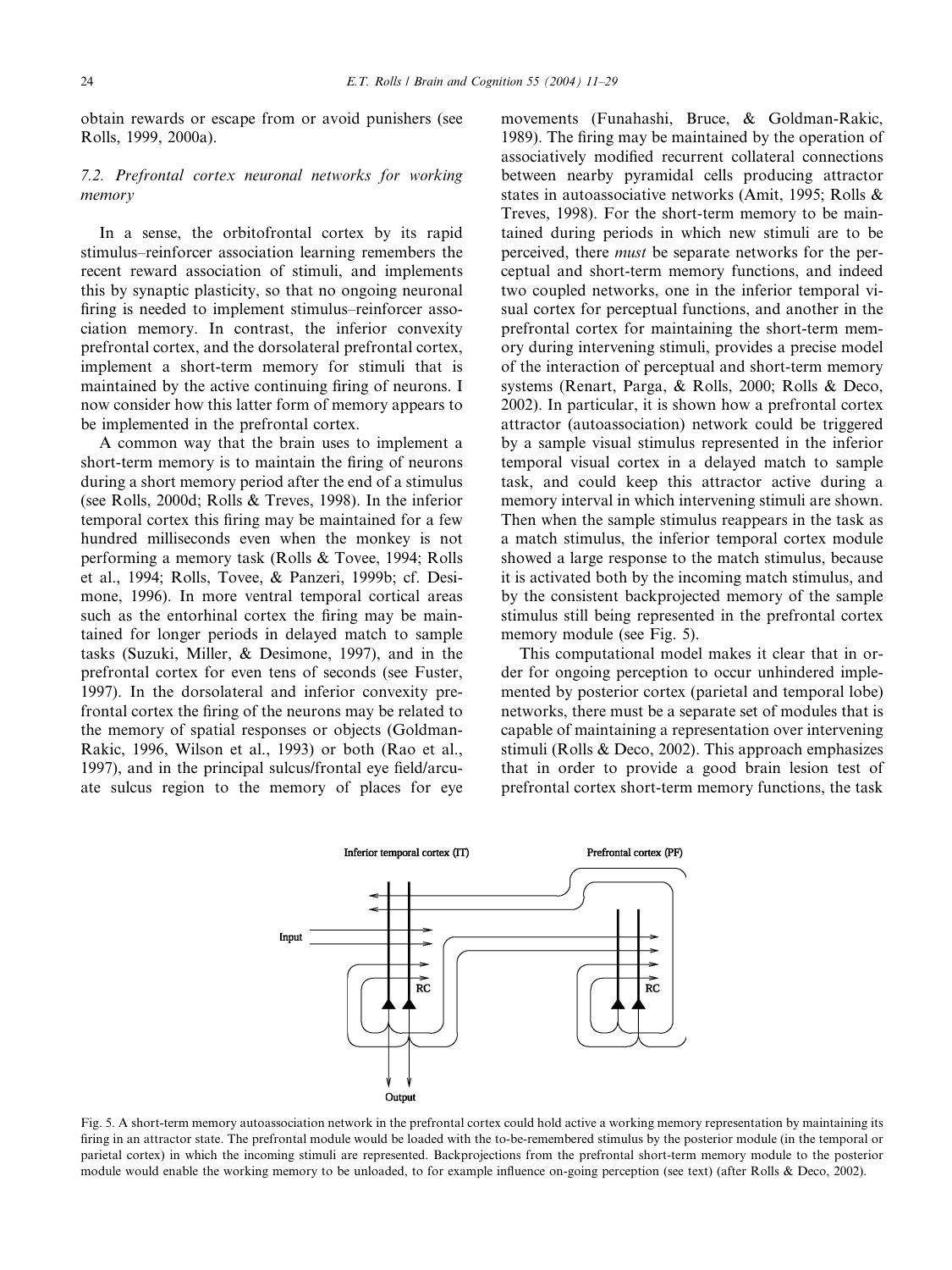obtain rewards or escape from or avoid punishers (see Rolls, 1999, 2000a).

## 7.2. Prefrontal cortex neuronal networks for working memory

In a sense, the orbitofrontal cortex by its rapid stimulus–reinforcer association learning remembers the recent reward association of stimuli, and implements this by synaptic plasticity, so that no ongoing neuronal firing is needed to implement stimulus–reinforcer association memory. In contrast, the inferior convexity prefrontal cortex, and the dorsolateral prefrontal cortex, implement a short-term memory for stimuli that is maintained by the active continuing firing of neurons. I now consider how this latter form of memory appears to be implemented in the prefrontal cortex.

A common way that the brain uses to implement a short-term memory is to maintain the firing of neurons during a short memory period after the end of a stimulus (see Rolls, 2000d; Rolls & Treves, 1998). In the inferior temporal cortex this firing may be maintained for a few hundred milliseconds even when the monkey is not performing a memory task (Rolls & Tovee, 1994; Rolls et al., 1994; Rolls, Tovee, & Panzeri, 1999b; cf. Desimone, 1996). In more ventral temporal cortical areas such as the entorhinal cortex the firing may be maintained for longer periods in delayed match to sample tasks (Suzuki, Miller, & Desimone, 1997), and in the prefrontal cortex for even tens of seconds (see Fuster, 1997). In the dorsolateral and inferior convexity prefrontal cortex the firing of the neurons may be related to the memory of spatial responses or objects (Goldman-Rakic, 1996, Wilson et al., 1993) or both (Rao et al., 1997), and in the principal sulcus/frontal eye field/arcuate sulcus region to the memory of places for eye movements (Funahashi, Bruce, & Goldman-Rakic, 1989). The firing may be maintained by the operation of associatively modified recurrent collateral connections between nearby pyramidal cells producing attractor states in autoassociative networks (Amit, 1995; Rolls & Treves, 1998). For the short-term memory to be maintained during periods in which new stimuli are to be perceived, there must be separate networks for the perceptual and short-term memory functions, and indeed two coupled networks, one in the inferior temporal visual cortex for perceptual functions, and another in the prefrontal cortex for maintaining the short-term memory during intervening stimuli, provides a precise model of the interaction of perceptual and short-term memory systems (Renart, Parga, & Rolls, 2000; Rolls & Deco, 2002). In particular, it is shown how a prefrontal cortex attractor (autoassociation) network could be triggered by a sample visual stimulus represented in the inferior temporal visual cortex in a delayed match to sample task, and could keep this attractor active during a memory interval in which intervening stimuli are shown. Then when the sample stimulus reappears in the task as a match stimulus, the inferior temporal cortex module showed a large response to the match stimulus, because it is activated both by the incoming match stimulus, and by the consistent backprojected memory of the sample stimulus still being represented in the prefrontal cortex memory module (see Fig. 5).

This computational model makes it clear that in order for ongoing perception to occur unhindered implemented by posterior cortex (parietal and temporal lobe) networks, there must be a separate set of modules that is capable of maintaining a representation over intervening stimuli (Rolls & Deco, 2002). This approach emphasizes that in order to provide a good brain lesion test of prefrontal cortex short-term memory functions, the task



Fig. 5. A short-term memory autoassociation network in the prefrontal cortex could hold active a working memory representation by maintaining its firing in an attractor state. The prefrontal module would be loaded with the to-be-remembered stimulus by the posterior module (in the temporal or parietal cortex) in which the incoming stimuli are represented. Backprojections from the prefrontal short-term memory module to the posterior module would enable the working memory to be unloaded, to for example influence on-going perception (see text) (after Rolls & Deco, 2002).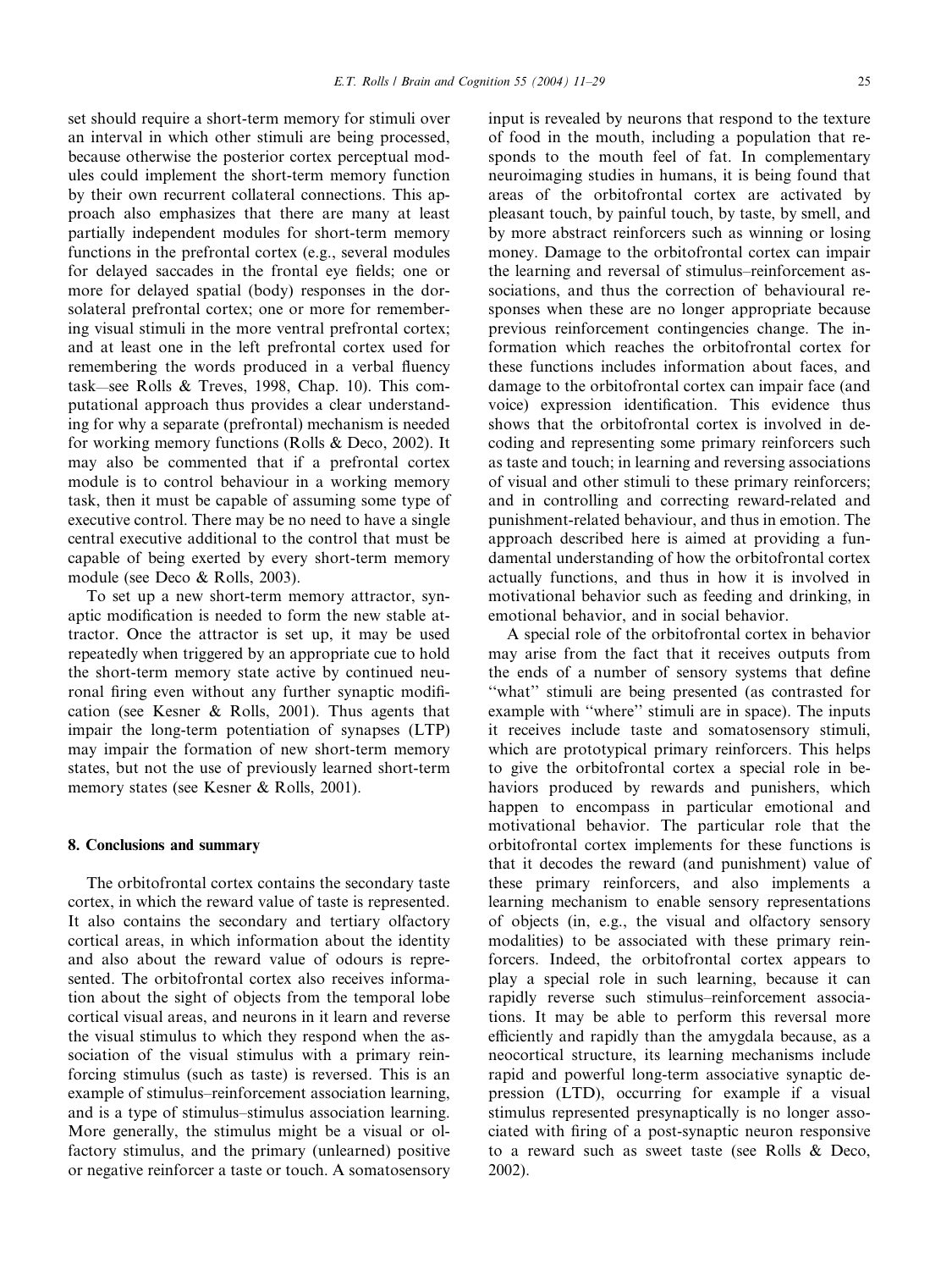set should require a short-term memory for stimuli over an interval in which other stimuli are being processed, because otherwise the posterior cortex perceptual modules could implement the short-term memory function by their own recurrent collateral connections. This approach also emphasizes that there are many at least partially independent modules for short-term memory functions in the prefrontal cortex (e.g., several modules for delayed saccades in the frontal eye fields; one or more for delayed spatial (body) responses in the dorsolateral prefrontal cortex; one or more for remembering visual stimuli in the more ventral prefrontal cortex; and at least one in the left prefrontal cortex used for remembering the words produced in a verbal fluency task—see Rolls & Treves, 1998, Chap. 10). This computational approach thus provides a clear understanding for why a separate (prefrontal) mechanism is needed for working memory functions (Rolls & Deco, 2002). It may also be commented that if a prefrontal cortex module is to control behaviour in a working memory task, then it must be capable of assuming some type of executive control. There may be no need to have a single central executive additional to the control that must be capable of being exerted by every short-term memory module (see Deco & Rolls, 2003).

To set up a new short-term memory attractor, synaptic modification is needed to form the new stable attractor. Once the attractor is set up, it may be used repeatedly when triggered by an appropriate cue to hold the short-term memory state active by continued neuronal firing even without any further synaptic modification (see Kesner & Rolls, 2001). Thus agents that impair the long-term potentiation of synapses (LTP) may impair the formation of new short-term memory states, but not the use of previously learned short-term memory states (see Kesner & Rolls, 2001).

#### 8. Conclusions and summary

The orbitofrontal cortex contains the secondary taste cortex, in which the reward value of taste is represented. It also contains the secondary and tertiary olfactory cortical areas, in which information about the identity and also about the reward value of odours is represented. The orbitofrontal cortex also receives information about the sight of objects from the temporal lobe cortical visual areas, and neurons in it learn and reverse the visual stimulus to which they respond when the association of the visual stimulus with a primary reinforcing stimulus (such as taste) is reversed. This is an example of stimulus–reinforcement association learning, and is a type of stimulus–stimulus association learning. More generally, the stimulus might be a visual or olfactory stimulus, and the primary (unlearned) positive or negative reinforcer a taste or touch. A somatosensory input is revealed by neurons that respond to the texture of food in the mouth, including a population that responds to the mouth feel of fat. In complementary neuroimaging studies in humans, it is being found that areas of the orbitofrontal cortex are activated by pleasant touch, by painful touch, by taste, by smell, and by more abstract reinforcers such as winning or losing money. Damage to the orbitofrontal cortex can impair the learning and reversal of stimulus–reinforcement associations, and thus the correction of behavioural responses when these are no longer appropriate because previous reinforcement contingencies change. The information which reaches the orbitofrontal cortex for these functions includes information about faces, and damage to the orbitofrontal cortex can impair face (and voice) expression identification. This evidence thus shows that the orbitofrontal cortex is involved in decoding and representing some primary reinforcers such as taste and touch; in learning and reversing associations of visual and other stimuli to these primary reinforcers; and in controlling and correcting reward-related and punishment-related behaviour, and thus in emotion. The approach described here is aimed at providing a fundamental understanding of how the orbitofrontal cortex actually functions, and thus in how it is involved in motivational behavior such as feeding and drinking, in emotional behavior, and in social behavior.

A special role of the orbitofrontal cortex in behavior may arise from the fact that it receives outputs from the ends of a number of sensory systems that define ''what'' stimuli are being presented (as contrasted for example with ''where'' stimuli are in space). The inputs it receives include taste and somatosensory stimuli, which are prototypical primary reinforcers. This helps to give the orbitofrontal cortex a special role in behaviors produced by rewards and punishers, which happen to encompass in particular emotional and motivational behavior. The particular role that the orbitofrontal cortex implements for these functions is that it decodes the reward (and punishment) value of these primary reinforcers, and also implements a learning mechanism to enable sensory representations of objects (in, e.g., the visual and olfactory sensory modalities) to be associated with these primary reinforcers. Indeed, the orbitofrontal cortex appears to play a special role in such learning, because it can rapidly reverse such stimulus–reinforcement associations. It may be able to perform this reversal more efficiently and rapidly than the amygdala because, as a neocortical structure, its learning mechanisms include rapid and powerful long-term associative synaptic depression (LTD), occurring for example if a visual stimulus represented presynaptically is no longer associated with firing of a post-synaptic neuron responsive to a reward such as sweet taste (see Rolls & Deco, 2002).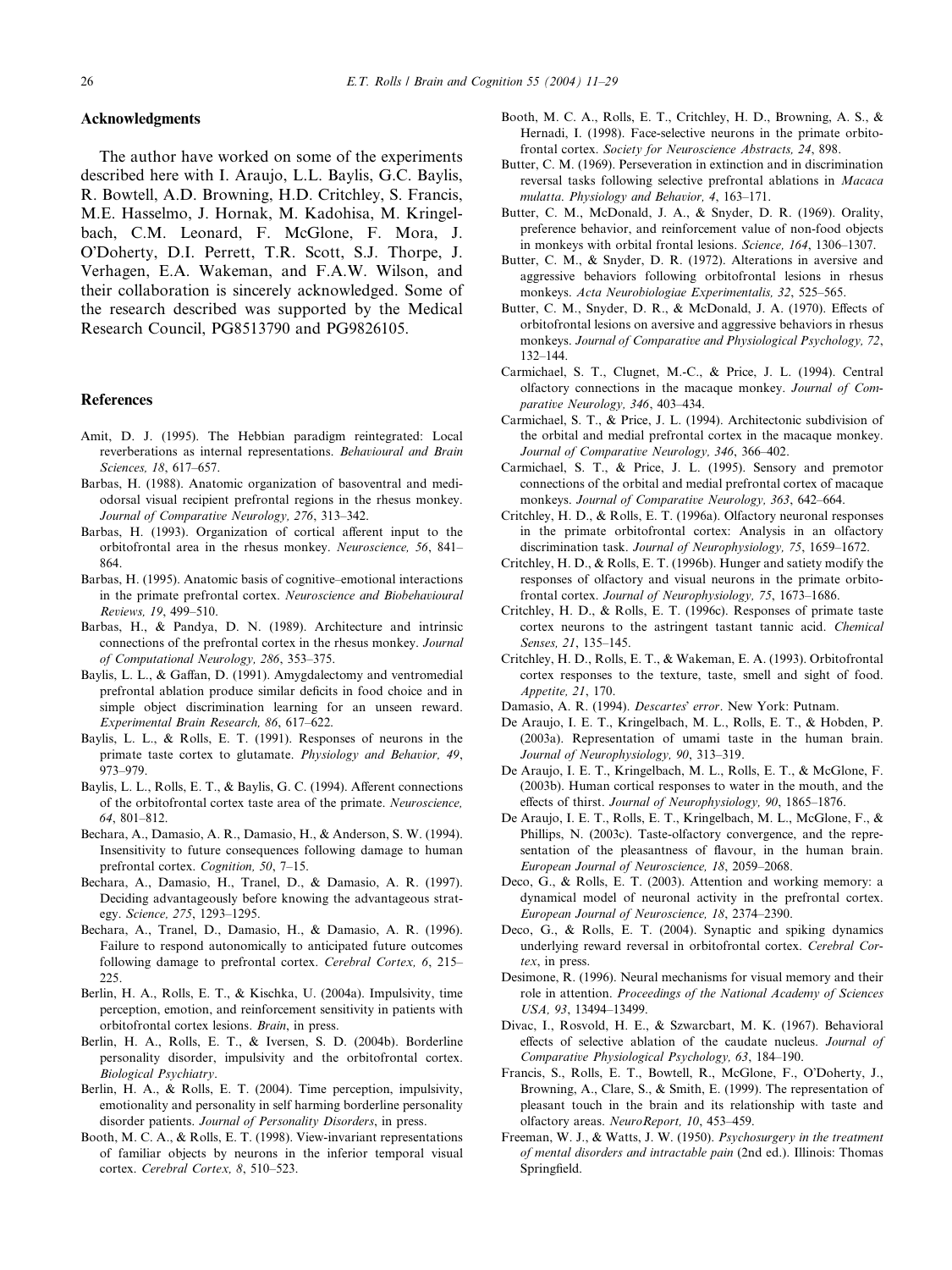## Acknowledgments

The author have worked on some of the experiments described here with I. Araujo, L.L. Baylis, G.C. Baylis, R. Bowtell, A.D. Browning, H.D. Critchley, S. Francis, M.E. Hasselmo, J. Hornak, M. Kadohisa, M. Kringelbach, C.M. Leonard, F. McGlone, F. Mora, J. O'Doherty, D.I. Perrett, T.R. Scott, S.J. Thorpe, J. Verhagen, E.A. Wakeman, and F.A.W. Wilson, and their collaboration is sincerely acknowledged. Some of the research described was supported by the Medical Research Council, PG8513790 and PG9826105.

#### References

- Amit, D. J. (1995). The Hebbian paradigm reintegrated: Local reverberations as internal representations. Behavioural and Brain Sciences, 18, 617–657.
- Barbas, H. (1988). Anatomic organization of basoventral and mediodorsal visual recipient prefrontal regions in the rhesus monkey. Journal of Comparative Neurology, 276, 313–342.
- Barbas, H. (1993). Organization of cortical afferent input to the orbitofrontal area in the rhesus monkey. Neuroscience, 56, 841– 864.
- Barbas, H. (1995). Anatomic basis of cognitive–emotional interactions in the primate prefrontal cortex. Neuroscience and Biobehavioural Reviews, 19, 499–510.
- Barbas, H., & Pandya, D. N. (1989). Architecture and intrinsic connections of the prefrontal cortex in the rhesus monkey. Journal of Computational Neurology, 286, 353–375.
- Baylis, L. L., & Gaffan, D. (1991). Amygdalectomy and ventromedial prefrontal ablation produce similar deficits in food choice and in simple object discrimination learning for an unseen reward. Experimental Brain Research, 86, 617–622.
- Baylis, L. L., & Rolls, E. T. (1991). Responses of neurons in the primate taste cortex to glutamate. Physiology and Behavior, 49, 973–979.
- Baylis, L. L., Rolls, E. T., & Baylis, G. C. (1994). Afferent connections of the orbitofrontal cortex taste area of the primate. Neuroscience, 64, 801–812.
- Bechara, A., Damasio, A. R., Damasio, H., & Anderson, S. W. (1994). Insensitivity to future consequences following damage to human prefrontal cortex. Cognition, 50, 7–15.
- Bechara, A., Damasio, H., Tranel, D., & Damasio, A. R. (1997). Deciding advantageously before knowing the advantageous strategy. Science, 275, 1293–1295.
- Bechara, A., Tranel, D., Damasio, H., & Damasio, A. R. (1996). Failure to respond autonomically to anticipated future outcomes following damage to prefrontal cortex. Cerebral Cortex, 6, 215– 225.
- Berlin, H. A., Rolls, E. T., & Kischka, U. (2004a). Impulsivity, time perception, emotion, and reinforcement sensitivity in patients with orbitofrontal cortex lesions. Brain, in press.
- Berlin, H. A., Rolls, E. T., & Iversen, S. D. (2004b). Borderline personality disorder, impulsivity and the orbitofrontal cortex. Biological Psychiatry.
- Berlin, H. A., & Rolls, E. T. (2004). Time perception, impulsivity, emotionality and personality in self harming borderline personality disorder patients. Journal of Personality Disorders, in press.
- Booth, M. C. A., & Rolls, E. T. (1998). View-invariant representations of familiar objects by neurons in the inferior temporal visual cortex. Cerebral Cortex, 8, 510–523.
- Booth, M. C. A., Rolls, E. T., Critchley, H. D., Browning, A. S., & Hernadi, I. (1998). Face-selective neurons in the primate orbitofrontal cortex. Society for Neuroscience Abstracts, 24, 898.
- Butter, C. M. (1969). Perseveration in extinction and in discrimination reversal tasks following selective prefrontal ablations in Macaca mulatta. Physiology and Behavior, 4, 163–171.
- Butter, C. M., McDonald, J. A., & Snyder, D. R. (1969). Orality, preference behavior, and reinforcement value of non-food objects in monkeys with orbital frontal lesions. Science, 164, 1306–1307.
- Butter, C. M., & Snyder, D. R. (1972). Alterations in aversive and aggressive behaviors following orbitofrontal lesions in rhesus monkeys. Acta Neurobiologiae Experimentalis, 32, 525–565.
- Butter, C. M., Snyder, D. R., & McDonald, J. A. (1970). Effects of orbitofrontal lesions on aversive and aggressive behaviors in rhesus monkeys. Journal of Comparative and Physiological Psychology, 72, 132–144.
- Carmichael, S. T., Clugnet, M.-C., & Price, J. L. (1994). Central olfactory connections in the macaque monkey. Journal of Comparative Neurology, 346, 403–434.
- Carmichael, S. T., & Price, J. L. (1994). Architectonic subdivision of the orbital and medial prefrontal cortex in the macaque monkey. Journal of Comparative Neurology, 346, 366–402.
- Carmichael, S. T., & Price, J. L. (1995). Sensory and premotor connections of the orbital and medial prefrontal cortex of macaque monkeys. Journal of Comparative Neurology, 363, 642–664.
- Critchley, H. D., & Rolls, E. T. (1996a). Olfactory neuronal responses in the primate orbitofrontal cortex: Analysis in an olfactory discrimination task. Journal of Neurophysiology, 75, 1659–1672.
- Critchley, H. D., & Rolls, E. T. (1996b). Hunger and satiety modify the responses of olfactory and visual neurons in the primate orbitofrontal cortex. Journal of Neurophysiology, 75, 1673–1686.
- Critchley, H. D., & Rolls, E. T. (1996c). Responses of primate taste cortex neurons to the astringent tastant tannic acid. Chemical Senses, 21, 135–145.
- Critchley, H. D., Rolls, E. T., & Wakeman, E. A. (1993). Orbitofrontal cortex responses to the texture, taste, smell and sight of food. Appetite, 21, 170.
- Damasio, A. R. (1994). *Descartes' error*. New York: Putnam.
- De Araujo, I. E. T., Kringelbach, M. L., Rolls, E. T., & Hobden, P. (2003a). Representation of umami taste in the human brain. Journal of Neurophysiology, 90, 313–319.
- De Araujo, I. E. T., Kringelbach, M. L., Rolls, E. T., & McGlone, F. (2003b). Human cortical responses to water in the mouth, and the effects of thirst. Journal of Neurophysiology, 90, 1865–1876.
- De Araujo, I. E. T., Rolls, E. T., Kringelbach, M. L., McGlone, F., & Phillips, N. (2003c). Taste-olfactory convergence, and the representation of the pleasantness of flavour, in the human brain. European Journal of Neuroscience, 18, 2059–2068.
- Deco, G., & Rolls, E. T. (2003). Attention and working memory: a dynamical model of neuronal activity in the prefrontal cortex. European Journal of Neuroscience, 18, 2374–2390.
- Deco, G., & Rolls, E. T. (2004). Synaptic and spiking dynamics underlying reward reversal in orbitofrontal cortex. Cerebral Cortex, in press.
- Desimone, R. (1996). Neural mechanisms for visual memory and their role in attention. Proceedings of the National Academy of Sciences USA, 93, 13494–13499.
- Divac, I., Rosvold, H. E., & Szwarcbart, M. K. (1967). Behavioral effects of selective ablation of the caudate nucleus. Journal of Comparative Physiological Psychology, 63, 184–190.
- Francis, S., Rolls, E. T., Bowtell, R., McGlone, F., ODoherty, J., Browning, A., Clare, S., & Smith, E. (1999). The representation of pleasant touch in the brain and its relationship with taste and olfactory areas. NeuroReport, 10, 453–459.
- Freeman, W. J., & Watts, J. W. (1950). Psychosurgery in the treatment of mental disorders and intractable pain (2nd ed.). Illinois: Thomas Springfield.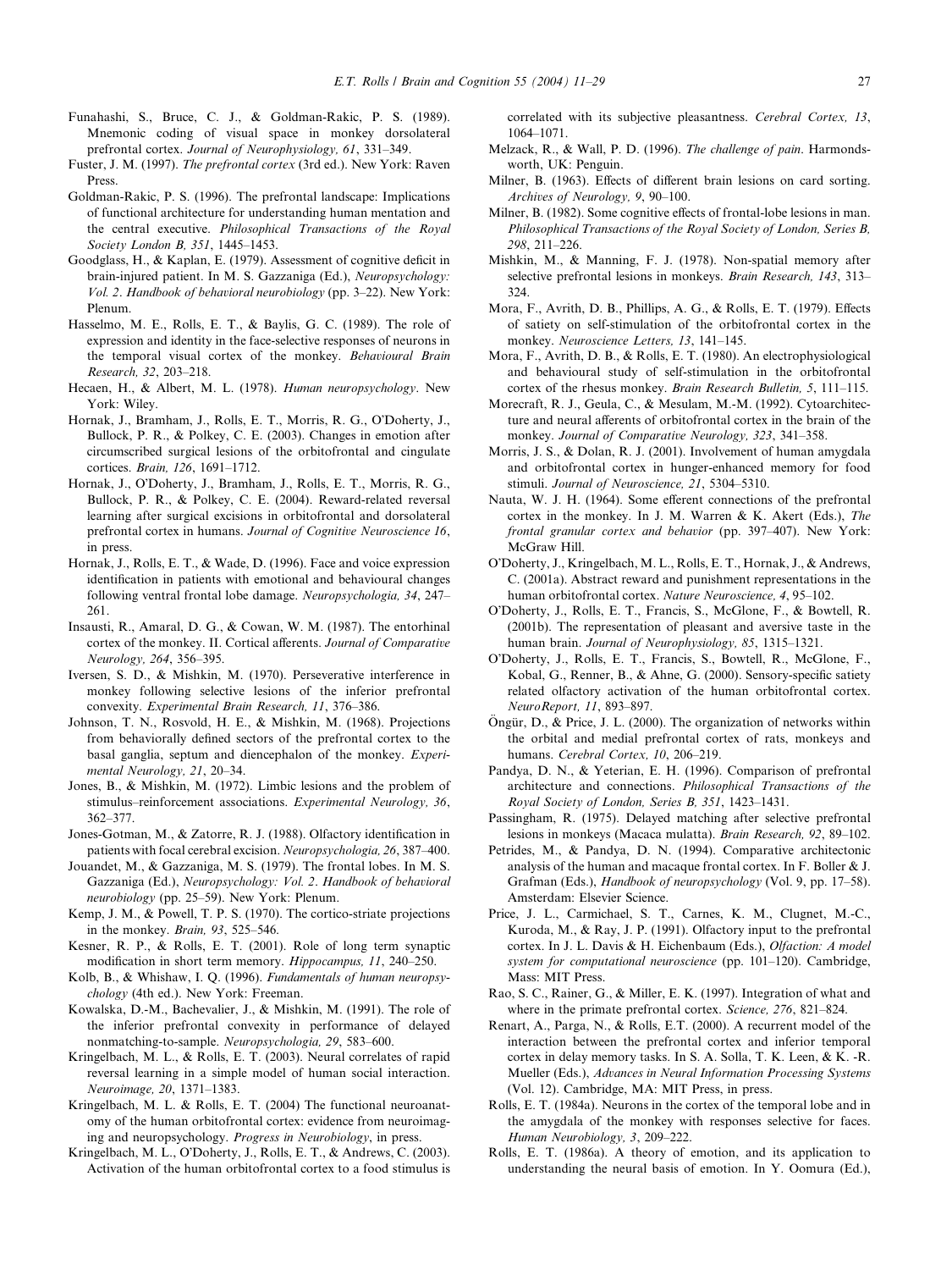- Funahashi, S., Bruce, C. J., & Goldman-Rakic, P. S. (1989). Mnemonic coding of visual space in monkey dorsolateral prefrontal cortex. Journal of Neurophysiology, 61, 331–349.
- Fuster, J. M. (1997). The prefrontal cortex (3rd ed.). New York: Raven Press.
- Goldman-Rakic, P. S. (1996). The prefrontal landscape: Implications of functional architecture for understanding human mentation and the central executive. Philosophical Transactions of the Royal Society London B, 351, 1445–1453.
- Goodglass, H., & Kaplan, E. (1979). Assessment of cognitive deficit in brain-injured patient. In M. S. Gazzaniga (Ed.), Neuropsychology: Vol. 2. Handbook of behavioral neurobiology (pp. 3–22). New York: Plenum.
- Hasselmo, M. E., Rolls, E. T., & Baylis, G. C. (1989). The role of expression and identity in the face-selective responses of neurons in the temporal visual cortex of the monkey. Behavioural Brain Research, 32, 203–218.
- Hecaen, H., & Albert, M. L. (1978). Human neuropsychology. New York: Wiley.
- Hornak, J., Bramham, J., Rolls, E. T., Morris, R. G., O'Doherty, J., Bullock, P. R., & Polkey, C. E. (2003). Changes in emotion after circumscribed surgical lesions of the orbitofrontal and cingulate cortices. Brain, 126, 1691–1712.
- Hornak, J., O'Doherty, J., Bramham, J., Rolls, E. T., Morris, R. G., Bullock, P. R., & Polkey, C. E. (2004). Reward-related reversal learning after surgical excisions in orbitofrontal and dorsolateral prefrontal cortex in humans. Journal of Cognitive Neuroscience 16, in press.
- Hornak, J., Rolls, E. T., & Wade, D. (1996). Face and voice expression identification in patients with emotional and behavioural changes following ventral frontal lobe damage. Neuropsychologia, 34, 247– 261.
- Insausti, R., Amaral, D. G., & Cowan, W. M. (1987). The entorhinal cortex of the monkey. II. Cortical afferents. Journal of Comparative Neurology, 264, 356–395.
- Iversen, S. D., & Mishkin, M. (1970). Perseverative interference in monkey following selective lesions of the inferior prefrontal convexity. Experimental Brain Research, 11, 376–386.
- Johnson, T. N., Rosvold, H. E., & Mishkin, M. (1968). Projections from behaviorally defined sectors of the prefrontal cortex to the basal ganglia, septum and diencephalon of the monkey. Experimental Neurology, 21, 20–34.
- Jones, B., & Mishkin, M. (1972). Limbic lesions and the problem of stimulus–reinforcement associations. Experimental Neurology, 36, 362–377.
- Jones-Gotman, M., & Zatorre, R. J. (1988). Olfactory identification in patients with focal cerebral excision. Neuropsychologia, 26, 387–400.
- Jouandet, M., & Gazzaniga, M. S. (1979). The frontal lobes. In M. S. Gazzaniga (Ed.), Neuropsychology: Vol. 2. Handbook of behavioral neurobiology (pp. 25–59). New York: Plenum.
- Kemp, J. M., & Powell, T. P. S. (1970). The cortico-striate projections in the monkey. Brain, 93, 525–546.
- Kesner, R. P., & Rolls, E. T. (2001). Role of long term synaptic modification in short term memory. Hippocampus, 11, 240–250.
- Kolb, B., & Whishaw, I. Q. (1996). Fundamentals of human neuropsychology (4th ed.). New York: Freeman.
- Kowalska, D.-M., Bachevalier, J., & Mishkin, M. (1991). The role of the inferior prefrontal convexity in performance of delayed nonmatching-to-sample. Neuropsychologia, 29, 583–600.
- Kringelbach, M. L., & Rolls, E. T. (2003). Neural correlates of rapid reversal learning in a simple model of human social interaction. Neuroimage, 20, 1371–1383.
- Kringelbach, M. L. & Rolls, E. T. (2004) The functional neuroanatomy of the human orbitofrontal cortex: evidence from neuroimaging and neuropsychology. Progress in Neurobiology, in press.
- Kringelbach, M. L., O'Doherty, J., Rolls, E. T., & Andrews, C. (2003). Activation of the human orbitofrontal cortex to a food stimulus is

correlated with its subjective pleasantness. Cerebral Cortex, 13, 1064–1071.

- Melzack, R., & Wall, P. D. (1996). The challenge of pain. Harmondsworth, UK: Penguin.
- Milner, B. (1963). Effects of different brain lesions on card sorting. Archives of Neurology, 9, 90–100.
- Milner, B. (1982). Some cognitive effects of frontal-lobe lesions in man. Philosophical Transactions of the Royal Society of London, Series B, 298, 211–226.
- Mishkin, M., & Manning, F. J. (1978). Non-spatial memory after selective prefrontal lesions in monkeys. Brain Research, 143, 313– 324.
- Mora, F., Avrith, D. B., Phillips, A. G., & Rolls, E. T. (1979). Effects of satiety on self-stimulation of the orbitofrontal cortex in the monkey. Neuroscience Letters, 13, 141–145.
- Mora, F., Avrith, D. B., & Rolls, E. T. (1980). An electrophysiological and behavioural study of self-stimulation in the orbitofrontal cortex of the rhesus monkey. Brain Research Bulletin, 5, 111–115.
- Morecraft, R. J., Geula, C., & Mesulam, M.-M. (1992). Cytoarchitecture and neural afferents of orbitofrontal cortex in the brain of the monkey. Journal of Comparative Neurology, 323, 341-358.
- Morris, J. S., & Dolan, R. J. (2001). Involvement of human amygdala and orbitofrontal cortex in hunger-enhanced memory for food stimuli. Journal of Neuroscience, 21, 5304–5310.
- Nauta, W. J. H. (1964). Some efferent connections of the prefrontal cortex in the monkey. In J. M. Warren & K. Akert (Eds.), The frontal granular cortex and behavior (pp. 397–407). New York: McGraw Hill.
- ODoherty, J., Kringelbach, M. L., Rolls, E. T., Hornak, J., & Andrews, C. (2001a). Abstract reward and punishment representations in the human orbitofrontal cortex. Nature Neuroscience, 4, 95–102.
- ODoherty, J., Rolls, E. T., Francis, S., McGlone, F., & Bowtell, R. (2001b). The representation of pleasant and aversive taste in the human brain. Journal of Neurophysiology, 85, 1315–1321.
- ODoherty, J., Rolls, E. T., Francis, S., Bowtell, R., McGlone, F., Kobal, G., Renner, B., & Ahne, G. (2000). Sensory-specific satiety related olfactory activation of the human orbitofrontal cortex. NeuroReport, 11, 893–897.
- Ongür, D., & Price, J. L. (2000). The organization of networks within the orbital and medial prefrontal cortex of rats, monkeys and humans. Cerebral Cortex, 10, 206–219.
- Pandya, D. N., & Yeterian, E. H. (1996). Comparison of prefrontal architecture and connections. Philosophical Transactions of the Royal Society of London, Series B, 351, 1423–1431.
- Passingham, R. (1975). Delayed matching after selective prefrontal lesions in monkeys (Macaca mulatta). Brain Research, 92, 89–102.
- Petrides, M., & Pandya, D. N. (1994). Comparative architectonic analysis of the human and macaque frontal cortex. In F. Boller & J. Grafman (Eds.), Handbook of neuropsychology (Vol. 9, pp. 17–58). Amsterdam: Elsevier Science.
- Price, J. L., Carmichael, S. T., Carnes, K. M., Clugnet, M.-C., Kuroda, M., & Ray, J. P. (1991). Olfactory input to the prefrontal cortex. In J. L. Davis & H. Eichenbaum (Eds.), Olfaction: A model system for computational neuroscience (pp. 101–120). Cambridge, Mass: MIT Press.
- Rao, S. C., Rainer, G., & Miller, E. K. (1997). Integration of what and where in the primate prefrontal cortex. Science, 276, 821-824.
- Renart, A., Parga, N., & Rolls, E.T. (2000). A recurrent model of the interaction between the prefrontal cortex and inferior temporal cortex in delay memory tasks. In S. A. Solla, T. K. Leen, & K. -R. Mueller (Eds.), Advances in Neural Information Processing Systems (Vol. 12). Cambridge, MA: MIT Press, in press.
- Rolls, E. T. (1984a). Neurons in the cortex of the temporal lobe and in the amygdala of the monkey with responses selective for faces. Human Neurobiology, 3, 209–222.
- Rolls, E. T. (1986a). A theory of emotion, and its application to understanding the neural basis of emotion. In Y. Oomura (Ed.),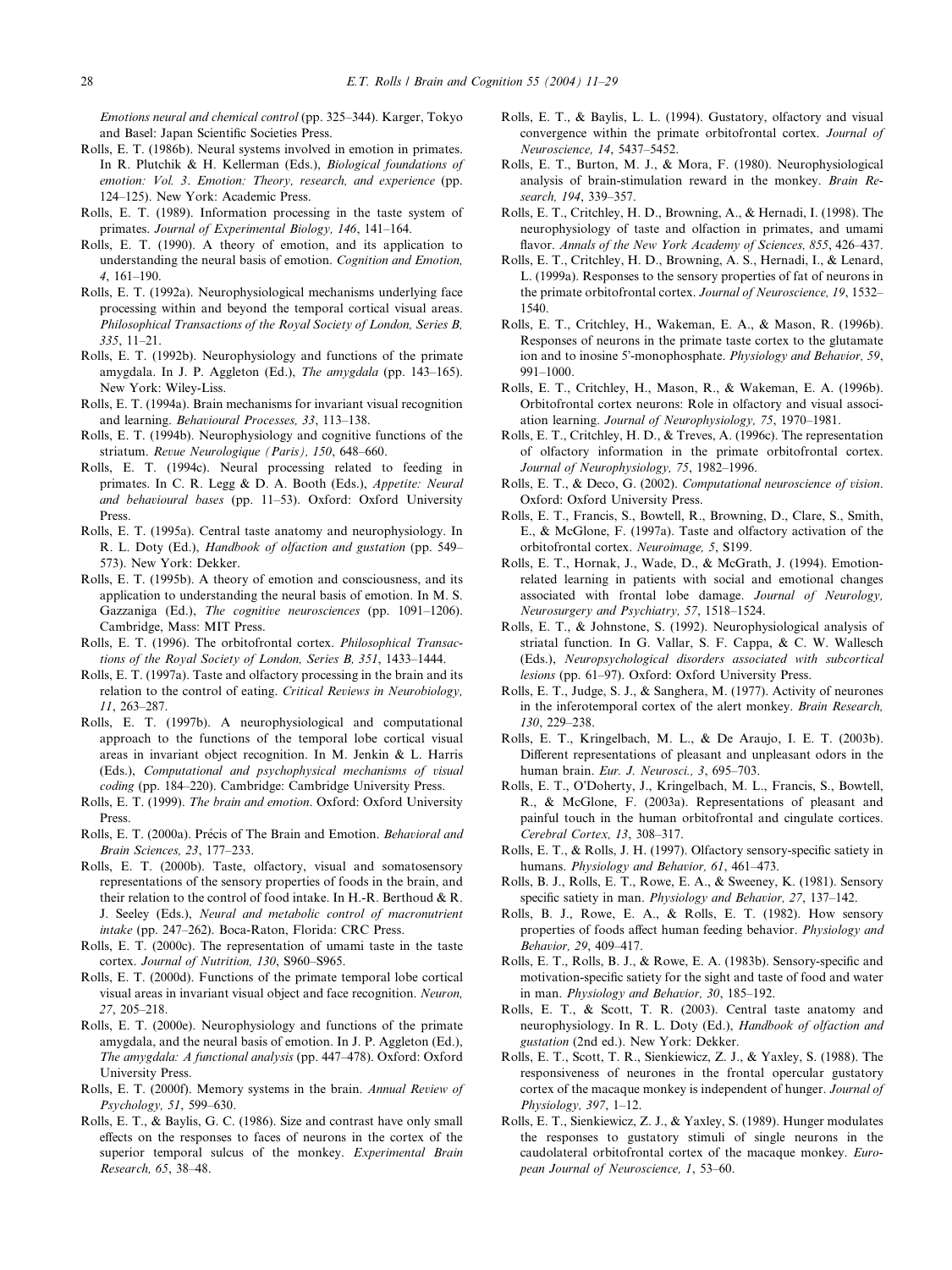Emotions neural and chemical control (pp. 325–344). Karger, Tokyo and Basel: Japan Scientific Societies Press.

- Rolls, E. T. (1986b). Neural systems involved in emotion in primates. In R. Plutchik & H. Kellerman (Eds.), *Biological foundations of* emotion: Vol. 3. Emotion: Theory, research, and experience (pp. 124–125). New York: Academic Press.
- Rolls, E. T. (1989). Information processing in the taste system of primates. Journal of Experimental Biology, 146, 141–164.
- Rolls, E. T. (1990). A theory of emotion, and its application to understanding the neural basis of emotion. Cognition and Emotion, 4, 161–190.
- Rolls, E. T. (1992a). Neurophysiological mechanisms underlying face processing within and beyond the temporal cortical visual areas. Philosophical Transactions of the Royal Society of London, Series B, 335, 11–21.
- Rolls, E. T. (1992b). Neurophysiology and functions of the primate amygdala. In J. P. Aggleton (Ed.), The amygdala (pp. 143–165). New York: Wiley-Liss.
- Rolls, E. T. (1994a). Brain mechanisms for invariant visual recognition and learning. Behavioural Processes, 33, 113–138.
- Rolls, E. T. (1994b). Neurophysiology and cognitive functions of the striatum. Revue Neurologique (Paris), 150, 648–660.
- Rolls, E. T. (1994c). Neural processing related to feeding in primates. In C. R. Legg & D. A. Booth (Eds.), Appetite: Neural and behavioural bases (pp. 11–53). Oxford: Oxford University Press.
- Rolls, E. T. (1995a). Central taste anatomy and neurophysiology. In R. L. Doty (Ed.), Handbook of olfaction and gustation (pp. 549– 573). New York: Dekker.
- Rolls, E. T. (1995b). A theory of emotion and consciousness, and its application to understanding the neural basis of emotion. In M. S. Gazzaniga (Ed.), The cognitive neurosciences (pp. 1091–1206). Cambridge, Mass: MIT Press.
- Rolls, E. T. (1996). The orbitofrontal cortex. Philosophical Transactions of the Royal Society of London, Series B, 351, 1433–1444.
- Rolls, E. T. (1997a). Taste and olfactory processing in the brain and its relation to the control of eating. Critical Reviews in Neurobiology, 11, 263–287.
- Rolls, E. T. (1997b). A neurophysiological and computational approach to the functions of the temporal lobe cortical visual areas in invariant object recognition. In M. Jenkin & L. Harris (Eds.), Computational and psychophysical mechanisms of visual coding (pp. 184–220). Cambridge: Cambridge University Press.
- Rolls, E. T. (1999). The brain and emotion. Oxford: Oxford University Press.
- Rolls, E. T. (2000a). Précis of The Brain and Emotion. Behavioral and Brain Sciences, 23, 177–233.
- Rolls, E. T. (2000b). Taste, olfactory, visual and somatosensory representations of the sensory properties of foods in the brain, and their relation to the control of food intake. In H.-R. Berthoud & R. J. Seeley (Eds.), Neural and metabolic control of macronutrient intake (pp. 247–262). Boca-Raton, Florida: CRC Press.
- Rolls, E. T. (2000c). The representation of umami taste in the taste cortex. Journal of Nutrition, 130, S960–S965.
- Rolls, E. T. (2000d). Functions of the primate temporal lobe cortical visual areas in invariant visual object and face recognition. Neuron, 27, 205–218.
- Rolls, E. T. (2000e). Neurophysiology and functions of the primate amygdala, and the neural basis of emotion. In J. P. Aggleton (Ed.), The amygdala: A functional analysis (pp. 447–478). Oxford: Oxford University Press.
- Rolls, E. T. (2000f). Memory systems in the brain. Annual Review of Psychology, 51, 599–630.
- Rolls, E. T., & Baylis, G. C. (1986). Size and contrast have only small effects on the responses to faces of neurons in the cortex of the superior temporal sulcus of the monkey. Experimental Brain Research, 65, 38–48.
- Rolls, E. T., & Baylis, L. L. (1994). Gustatory, olfactory and visual convergence within the primate orbitofrontal cortex. Journal of Neuroscience, 14, 5437–5452.
- Rolls, E. T., Burton, M. J., & Mora, F. (1980). Neurophysiological analysis of brain-stimulation reward in the monkey. Brain Research, 194, 339–357.
- Rolls, E. T., Critchley, H. D., Browning, A., & Hernadi, I. (1998). The neurophysiology of taste and olfaction in primates, and umami flavor. Annals of the New York Academy of Sciences, 855, 426-437.
- Rolls, E. T., Critchley, H. D., Browning, A. S., Hernadi, I., & Lenard, L. (1999a). Responses to the sensory properties of fat of neurons in the primate orbitofrontal cortex. Journal of Neuroscience, 19, 1532– 1540.
- Rolls, E. T., Critchley, H., Wakeman, E. A., & Mason, R. (1996b). Responses of neurons in the primate taste cortex to the glutamate ion and to inosine 5-monophosphate. Physiology and Behavior, 59, 991–1000.
- Rolls, E. T., Critchley, H., Mason, R., & Wakeman, E. A. (1996b). Orbitofrontal cortex neurons: Role in olfactory and visual association learning. Journal of Neurophysiology, 75, 1970–1981.
- Rolls, E. T., Critchley, H. D., & Treves, A. (1996c). The representation of olfactory information in the primate orbitofrontal cortex. Journal of Neurophysiology, 75, 1982–1996.
- Rolls, E. T., & Deco, G. (2002). Computational neuroscience of vision. Oxford: Oxford University Press.
- Rolls, E. T., Francis, S., Bowtell, R., Browning, D., Clare, S., Smith, E., & McGlone, F. (1997a). Taste and olfactory activation of the orbitofrontal cortex. Neuroimage, 5, S199.
- Rolls, E. T., Hornak, J., Wade, D., & McGrath, J. (1994). Emotionrelated learning in patients with social and emotional changes associated with frontal lobe damage. Journal of Neurology, Neurosurgery and Psychiatry, 57, 1518–1524.
- Rolls, E. T., & Johnstone, S. (1992). Neurophysiological analysis of striatal function. In G. Vallar, S. F. Cappa, & C. W. Wallesch (Eds.), Neuropsychological disorders associated with subcortical lesions (pp. 61–97). Oxford: Oxford University Press.
- Rolls, E. T., Judge, S. J., & Sanghera, M. (1977). Activity of neurones in the inferotemporal cortex of the alert monkey. Brain Research, 130, 229–238.
- Rolls, E. T., Kringelbach, M. L., & De Araujo, I. E. T. (2003b). Different representations of pleasant and unpleasant odors in the human brain. Eur. J. Neurosci., 3, 695–703.
- Rolls, E. T., O'Doherty, J., Kringelbach, M. L., Francis, S., Bowtell, R., & McGlone, F. (2003a). Representations of pleasant and painful touch in the human orbitofrontal and cingulate cortices. Cerebral Cortex, 13, 308–317.
- Rolls, E. T., & Rolls, J. H. (1997). Olfactory sensory-specific satiety in humans. Physiology and Behavior, 61, 461–473.
- Rolls, B. J., Rolls, E. T., Rowe, E. A., & Sweeney, K. (1981). Sensory specific satiety in man. Physiology and Behavior, 27, 137-142.
- Rolls, B. J., Rowe, E. A., & Rolls, E. T. (1982). How sensory properties of foods affect human feeding behavior. Physiology and Behavior, 29, 409–417.
- Rolls, E. T., Rolls, B. J., & Rowe, E. A. (1983b). Sensory-specific and motivation-specific satiety for the sight and taste of food and water in man. Physiology and Behavior, 30, 185–192.
- Rolls, E. T., & Scott, T. R. (2003). Central taste anatomy and neurophysiology. In R. L. Doty (Ed.), Handbook of olfaction and gustation (2nd ed.). New York: Dekker.
- Rolls, E. T., Scott, T. R., Sienkiewicz, Z. J., & Yaxley, S. (1988). The responsiveness of neurones in the frontal opercular gustatory cortex of the macaque monkey is independent of hunger. Journal of Physiology, 397, 1–12.
- Rolls, E. T., Sienkiewicz, Z. J., & Yaxley, S. (1989). Hunger modulates the responses to gustatory stimuli of single neurons in the caudolateral orbitofrontal cortex of the macaque monkey. European Journal of Neuroscience, 1, 53–60.